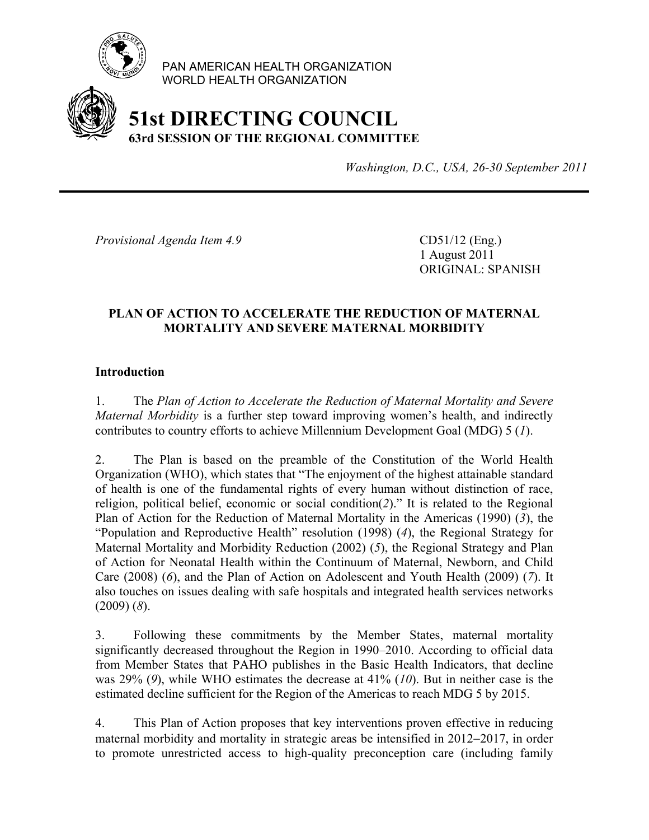

PAN AMERICAN HEALTH ORGANIZATION WORLD HEALTH ORGANIZATION

# **51st DIRECTING COUNCIL 63rd SESSION OF THE REGIONAL COMMITTEE**

*Washington, D.C., USA, 26-30 September 2011*

*Provisional Agenda Item 4.9* CD51/12 (Eng.)

 1 August 2011 ORIGINAL: SPANISH

# **PLAN OF ACTION TO ACCELERATE THE REDUCTION OF MATERNAL MORTALITY AND SEVERE MATERNAL MORBIDITY**

#### **Introduction**

1. The *Plan of Action to Accelerate the Reduction of Maternal Mortality and Severe Maternal Morbidity* is a further step toward improving women's health, and indirectly contributes to country efforts to achieve Millennium Development Goal (MDG) 5 (*1*).

2. The Plan is based on the preamble of the Constitution of the World Health Organization (WHO), which states that "The enjoyment of the highest attainable standard of health is one of the fundamental rights of every human without distinction of race, religion, political belief, economic or social condition(*2*)." It is related to the Regional Plan of Action for the Reduction of Maternal Mortality in the Americas (1990) (*3*), the "Population and Reproductive Health" resolution (1998) (*4*), the Regional Strategy for Maternal Mortality and Morbidity Reduction (2002) (*5*), the Regional Strategy and Plan of Action for Neonatal Health within the Continuum of Maternal, Newborn, and Child Care (2008) (*6*), and the Plan of Action on Adolescent and Youth Health (2009) (*7*). It also touches on issues dealing with safe hospitals and integrated health services networks (2009) (*8*).

3. Following these commitments by the Member States, maternal mortality significantly decreased throughout the Region in 1990–2010. According to official data from Member States that PAHO publishes in the Basic Health Indicators, that decline was 29% (*9*), while WHO estimates the decrease at 41% (*10*). But in neither case is the estimated decline sufficient for the Region of the Americas to reach MDG 5 by 2015.

4. This Plan of Action proposes that key interventions proven effective in reducing maternal morbidity and mortality in strategic areas be intensified in 2012−2017, in order to promote unrestricted access to high-quality preconception care (including family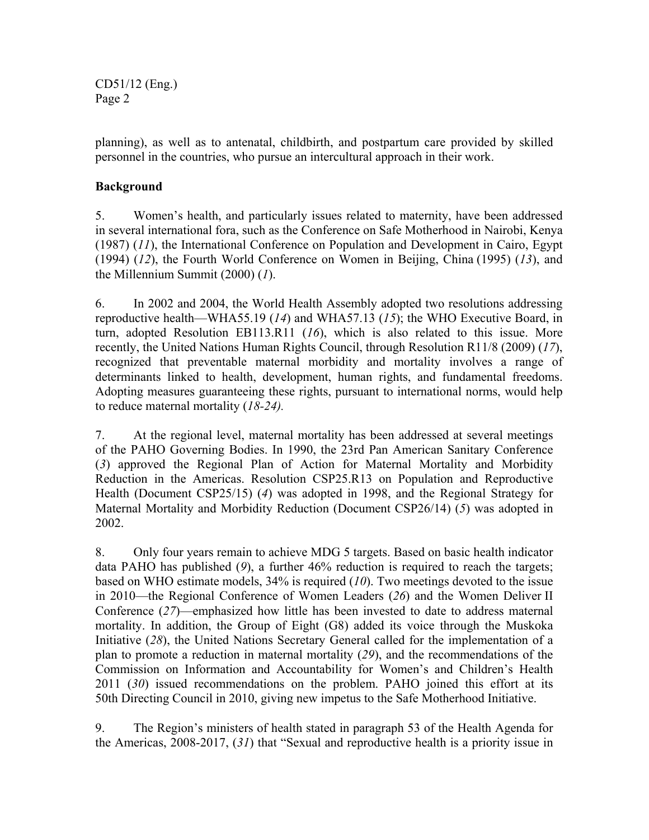CD51/12 (Eng.) Page 2

planning), as well as to antenatal, childbirth, and postpartum care provided by skilled personnel in the countries, who pursue an intercultural approach in their work.

# **Background**

5. Women's health, and particularly issues related to maternity, have been addressed in several international fora, such as the Conference on Safe Motherhood in Nairobi, Kenya (1987) (*11*), the International Conference on Population and Development in Cairo, Egypt (1994) (*12*), the Fourth World Conference on Women in Beijing, China (1995) (*13*), and the Millennium Summit (2000) (*1*).

6. In 2002 and 2004, the World Health Assembly adopted two resolutions addressing reproductive health—WHA55.19 (*14*) and WHA57.13 (*15*); the WHO Executive Board, in turn, adopted Resolution EB113.R11 (*16*), which is also related to this issue. More recently, the United Nations Human Rights Council, through Resolution R11/8 (2009) (*17*), recognized that preventable maternal morbidity and mortality involves a range of determinants linked to health, development, human rights, and fundamental freedoms. Adopting measures guaranteeing these rights, pursuant to international norms, would help to reduce maternal mortality (*18-24).*

7. At the regional level, maternal mortality has been addressed at several meetings of the PAHO Governing Bodies. In 1990, the 23rd Pan American Sanitary Conference (*3*) approved the Regional Plan of Action for Maternal Mortality and Morbidity Reduction in the Americas. Resolution CSP25.R13 on Population and Reproductive Health (Document CSP25/15) (*4*) was adopted in 1998, and the Regional Strategy for Maternal Mortality and Morbidity Reduction (Document CSP26/14) (*5*) was adopted in 2002.

8. Only four years remain to achieve MDG 5 targets. Based on basic health indicator data PAHO has published (*9*), a further 46% reduction is required to reach the targets; based on WHO estimate models, 34% is required (*10*). Two meetings devoted to the issue in 2010—the Regional Conference of Women Leaders (*26*) and the Women Deliver II Conference (*27*)—emphasized how little has been invested to date to address maternal mortality. In addition, the Group of Eight (G8) added its voice through the Muskoka Initiative (*28*), the United Nations Secretary General called for the implementation of a plan to promote a reduction in maternal mortality (*29*), and the recommendations of the Commission on Information and Accountability for Women's and Children's Health 2011 (*30*) issued recommendations on the problem. PAHO joined this effort at its 50th Directing Council in 2010, giving new impetus to the Safe Motherhood Initiative.

9. The Region's ministers of health stated in paragraph 53 of the Health Agenda for the Americas, 2008-2017, (*31*) that "Sexual and reproductive health is a priority issue in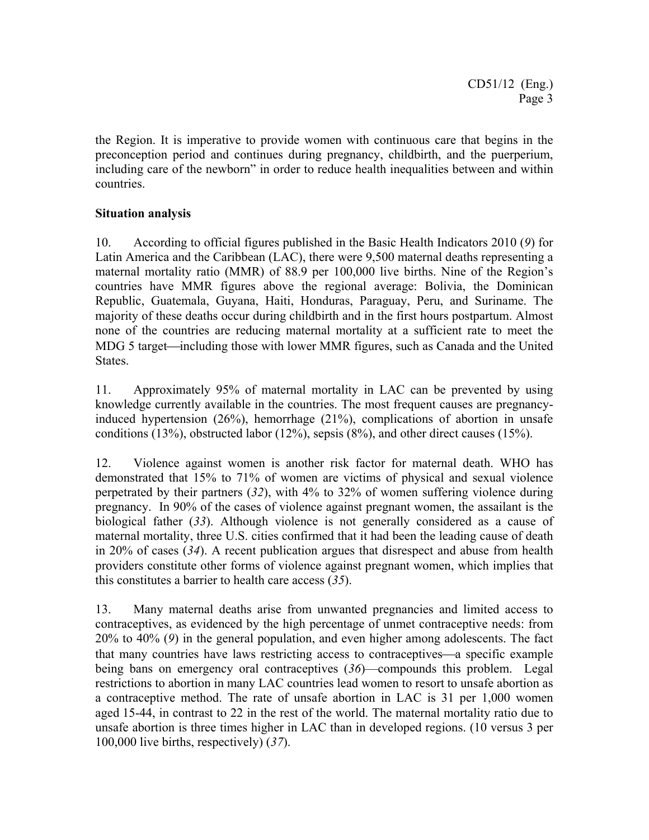the Region. It is imperative to provide women with continuous care that begins in the preconception period and continues during pregnancy, childbirth, and the puerperium, including care of the newborn" in order to reduce health inequalities between and within countries.

# **Situation analysis**

10. According to official figures published in the Basic Health Indicators 2010 (*9*) for Latin America and the Caribbean (LAC), there were 9,500 maternal deaths representing a maternal mortality ratio (MMR) of 88.9 per 100,000 live births. Nine of the Region's countries have MMR figures above the regional average: Bolivia, the Dominican Republic, Guatemala, Guyana, Haiti, Honduras, Paraguay, Peru, and Suriname. The majority of these deaths occur during childbirth and in the first hours postpartum. Almost none of the countries are reducing maternal mortality at a sufficient rate to meet the MDG 5 target—including those with lower MMR figures, such as Canada and the United States.

11. Approximately 95% of maternal mortality in LAC can be prevented by using knowledge currently available in the countries. The most frequent causes are pregnancyinduced hypertension (26%), hemorrhage (21%), complications of abortion in unsafe conditions (13%), obstructed labor (12%), sepsis (8%), and other direct causes (15%).

12. Violence against women is another risk factor for maternal death. WHO has demonstrated that 15% to 71% of women are victims of physical and sexual violence perpetrated by their partners (*32*), with 4% to 32% of women suffering violence during pregnancy. In 90% of the cases of violence against pregnant women, the assailant is the biological father (*33*). Although violence is not generally considered as a cause of maternal mortality, three U.S. cities confirmed that it had been the leading cause of death in 20% of cases (*34*). A recent publication argues that disrespect and abuse from health providers constitute other forms of violence against pregnant women, which implies that this constitutes a barrier to health care access (*35*).

13. Many maternal deaths arise from unwanted pregnancies and limited access to contraceptives, as evidenced by the high percentage of unmet contraceptive needs: from 20% to 40% (*9*) in the general population, and even higher among adolescents. The fact that many countries have laws restricting access to contraceptives—a specific example being bans on emergency oral contraceptives (*36*)—compounds this problem. Legal restrictions to abortion in many LAC countries lead women to resort to unsafe abortion as a contraceptive method. The rate of unsafe abortion in LAC is 31 per 1,000 women aged 15-44, in contrast to 22 in the rest of the world. The maternal mortality ratio due to unsafe abortion is three times higher in LAC than in developed regions. (10 versus 3 per 100,000 live births, respectively) (*37*).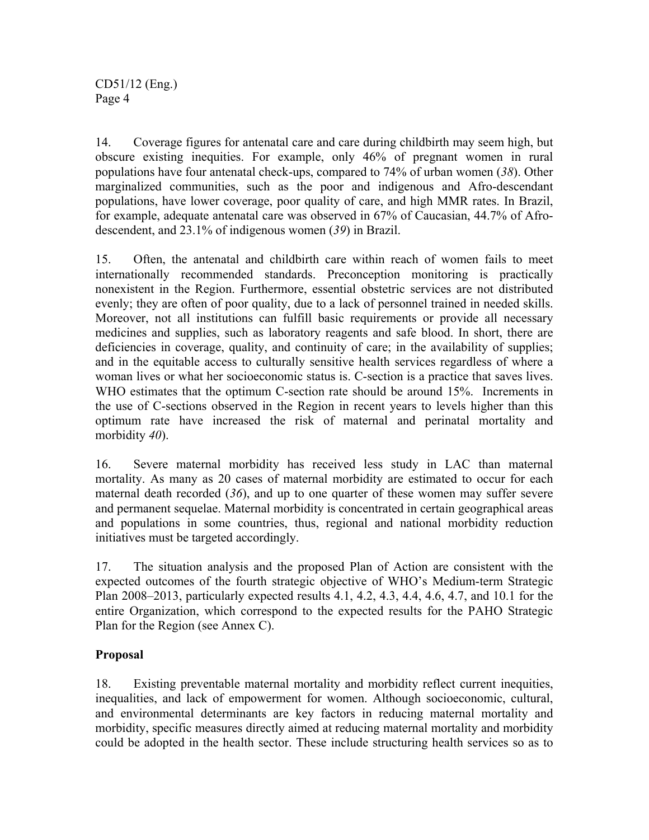14. Coverage figures for antenatal care and care during childbirth may seem high, but obscure existing inequities. For example, only 46% of pregnant women in rural populations have four antenatal check-ups, compared to 74% of urban women (*38*). Other marginalized communities, such as the poor and indigenous and Afro-descendant populations, have lower coverage, poor quality of care, and high MMR rates. In Brazil, for example, adequate antenatal care was observed in 67% of Caucasian, 44.7% of Afrodescendent, and 23.1% of indigenous women (*39*) in Brazil.

15. Often, the antenatal and childbirth care within reach of women fails to meet internationally recommended standards. Preconception monitoring is practically nonexistent in the Region. Furthermore, essential obstetric services are not distributed evenly; they are often of poor quality, due to a lack of personnel trained in needed skills. Moreover, not all institutions can fulfill basic requirements or provide all necessary medicines and supplies, such as laboratory reagents and safe blood. In short, there are deficiencies in coverage, quality, and continuity of care; in the availability of supplies; and in the equitable access to culturally sensitive health services regardless of where a woman lives or what her socioeconomic status is. C-section is a practice that saves lives. WHO estimates that the optimum C-section rate should be around 15%. Increments in the use of C-sections observed in the Region in recent years to levels higher than this optimum rate have increased the risk of maternal and perinatal mortality and morbidity *40*).

16. Severe maternal morbidity has received less study in LAC than maternal mortality. As many as 20 cases of maternal morbidity are estimated to occur for each maternal death recorded (*36*), and up to one quarter of these women may suffer severe and permanent sequelae. Maternal morbidity is concentrated in certain geographical areas and populations in some countries, thus, regional and national morbidity reduction initiatives must be targeted accordingly.

17. The situation analysis and the proposed Plan of Action are consistent with the expected outcomes of the fourth strategic objective of WHO's Medium-term Strategic Plan 2008–2013, particularly expected results 4.1, 4.2, 4.3, 4.4, 4.6, 4.7, and 10.1 for the entire Organization, which correspond to the expected results for the PAHO Strategic Plan for the Region (see Annex C).

# **Proposal**

18. Existing preventable maternal mortality and morbidity reflect current inequities, inequalities, and lack of empowerment for women. Although socioeconomic, cultural, and environmental determinants are key factors in reducing maternal mortality and morbidity, specific measures directly aimed at reducing maternal mortality and morbidity could be adopted in the health sector. These include structuring health services so as to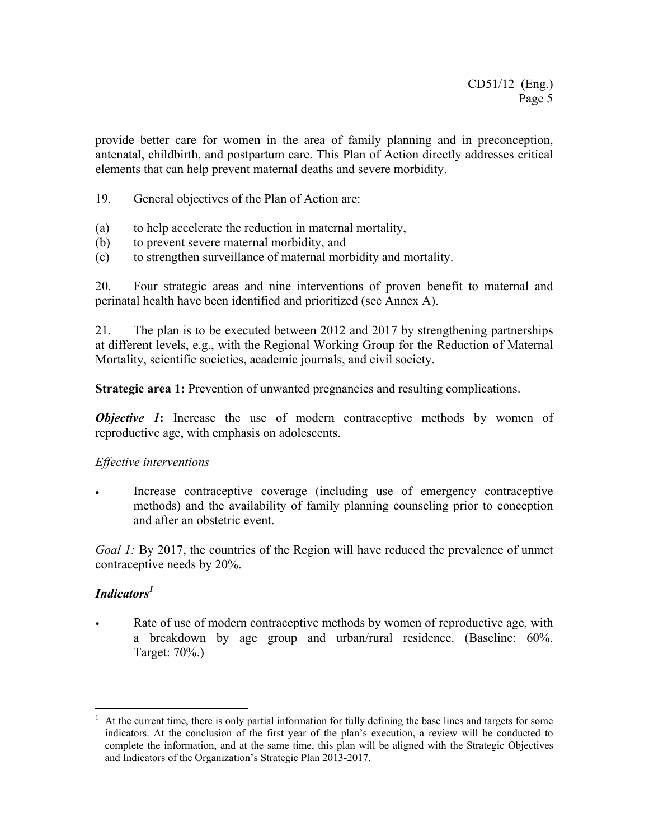provide better care for women in the area of family planning and in preconception, antenatal, childbirth, and postpartum care. This Plan of Action directly addresses critical elements that can help prevent maternal deaths and severe morbidity.

- 19. General objectives of the Plan of Action are:
- (a) to help accelerate the reduction in maternal mortality,
- (b) to prevent severe maternal morbidity, and
- (c) to strengthen surveillance of maternal morbidity and mortality.

20. Four strategic areas and nine interventions of proven benefit to maternal and perinatal health have been identified and prioritized (see Annex A).

21. The plan is to be executed between 2012 and 2017 by strengthening partnerships at different levels, e.g., with the Regional Working Group for the Reduction of Maternal Mortality, scientific societies, academic journals, and civil society.

**Strategic area 1:** Prevention of unwanted pregnancies and resulting complications.

*Objective 1***:** Increase the use of modern contraceptive methods by women of reproductive age, with emphasis on adolescents.

#### *Effective interventions*

Increase contraceptive coverage (including use of emergency contraceptive methods) and the availability of family planning counseling prior to conception and after an obstetric event.

*Goal 1:* By 2017, the countries of the Region will have reduced the prevalence of unmet contraceptive needs by 20%.

# *Indicators1*

Rate of use of modern contraceptive methods by women of reproductive age, with a breakdown by age group and urban/rural residence. (Baseline: 60%. Target: 70%.)

 $\overline{a}$ 1 At the current time, there is only partial information for fully defining the base lines and targets for some indicators. At the conclusion of the first year of the plan's execution, a review will be conducted to complete the information, and at the same time, this plan will be aligned with the Strategic Objectives and Indicators of the Organization's Strategic Plan 2013-2017.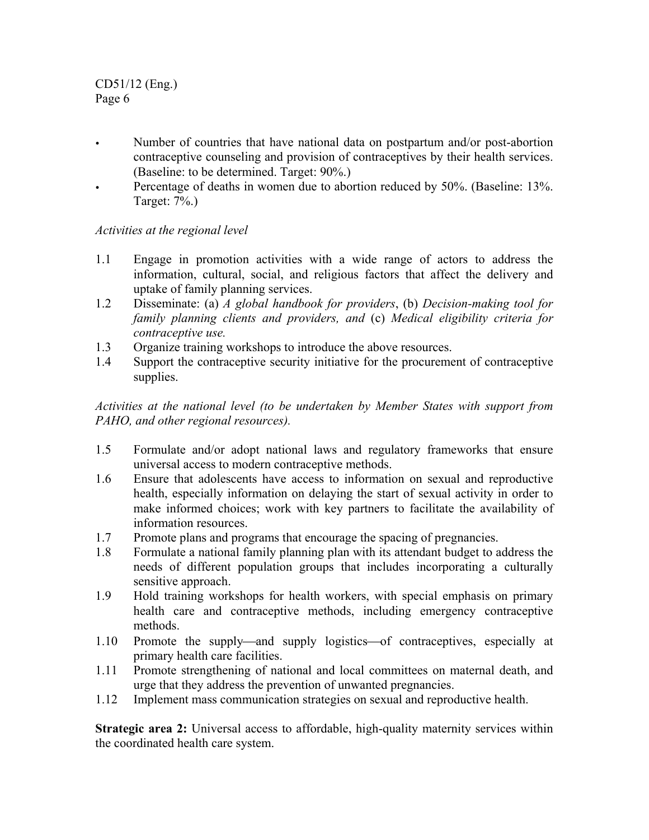CD51/12 (Eng.) Page 6

- Number of countries that have national data on postpartum and/or post-abortion contraceptive counseling and provision of contraceptives by their health services. (Baseline: to be determined. Target: 90%.)
- Percentage of deaths in women due to abortion reduced by 50%. (Baseline: 13%. Target: 7%.)

### *Activities at the regional level*

- 1.1 Engage in promotion activities with a wide range of actors to address the information, cultural, social, and religious factors that affect the delivery and uptake of family planning services.
- 1.2 Disseminate: (a) *A global handbook for providers*, (b) *Decision-making tool for family planning clients and providers, and* (c) *Medical eligibility criteria for contraceptive use.*
- 1.3 Organize training workshops to introduce the above resources.
- 1.4 Support the contraceptive security initiative for the procurement of contraceptive supplies.

*Activities at the national level (to be undertaken by Member States with support from PAHO, and other regional resources).* 

- 1.5 Formulate and/or adopt national laws and regulatory frameworks that ensure universal access to modern contraceptive methods.
- 1.6 Ensure that adolescents have access to information on sexual and reproductive health, especially information on delaying the start of sexual activity in order to make informed choices; work with key partners to facilitate the availability of information resources.
- 1.7 Promote plans and programs that encourage the spacing of pregnancies.
- 1.8 Formulate a national family planning plan with its attendant budget to address the needs of different population groups that includes incorporating a culturally sensitive approach.
- 1.9 Hold training workshops for health workers, with special emphasis on primary health care and contraceptive methods, including emergency contraceptive methods.
- 1.10 Promote the supply—and supply logistics—of contraceptives, especially at primary health care facilities.
- 1.11 Promote strengthening of national and local committees on maternal death, and urge that they address the prevention of unwanted pregnancies.
- 1.12 Implement mass communication strategies on sexual and reproductive health.

**Strategic area 2:** Universal access to affordable, high-quality maternity services within the coordinated health care system.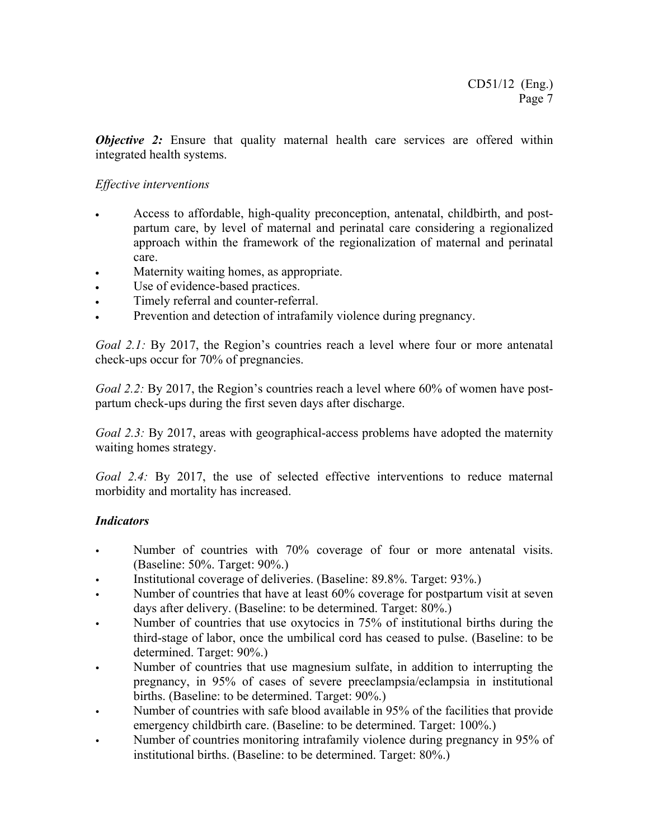*Objective 2:* Ensure that quality maternal health care services are offered within integrated health systems.

### *Effective interventions*

- Access to affordable, high-quality preconception, antenatal, childbirth, and postpartum care, by level of maternal and perinatal care considering a regionalized approach within the framework of the regionalization of maternal and perinatal care.
- Maternity waiting homes, as appropriate.
- Use of evidence-based practices.
- Timely referral and counter-referral.
- Prevention and detection of intrafamily violence during pregnancy.

*Goal 2.1:* By 2017, the Region's countries reach a level where four or more antenatal check-ups occur for 70% of pregnancies.

*Goal 2.2:* By 2017, the Region's countries reach a level where 60% of women have postpartum check-ups during the first seven days after discharge.

*Goal 2.3:* By 2017, areas with geographical-access problems have adopted the maternity waiting homes strategy.

*Goal 2.4:* By 2017, the use of selected effective interventions to reduce maternal morbidity and mortality has increased.

# *Indicators*

- Number of countries with 70% coverage of four or more antenatal visits. (Baseline: 50%. Target: 90%.)
- Institutional coverage of deliveries. (Baseline: 89.8%. Target: 93%.)
- Number of countries that have at least 60% coverage for postpartum visit at seven days after delivery. (Baseline: to be determined. Target: 80%.)
- Number of countries that use oxytocics in 75% of institutional births during the third-stage of labor, once the umbilical cord has ceased to pulse. (Baseline: to be determined. Target: 90%.)
- Number of countries that use magnesium sulfate, in addition to interrupting the pregnancy, in 95% of cases of severe preeclampsia/eclampsia in institutional births. (Baseline: to be determined. Target: 90%.)
- Number of countries with safe blood available in 95% of the facilities that provide emergency childbirth care. (Baseline: to be determined. Target: 100%.)
- Number of countries monitoring intrafamily violence during pregnancy in 95% of institutional births. (Baseline: to be determined. Target: 80%.)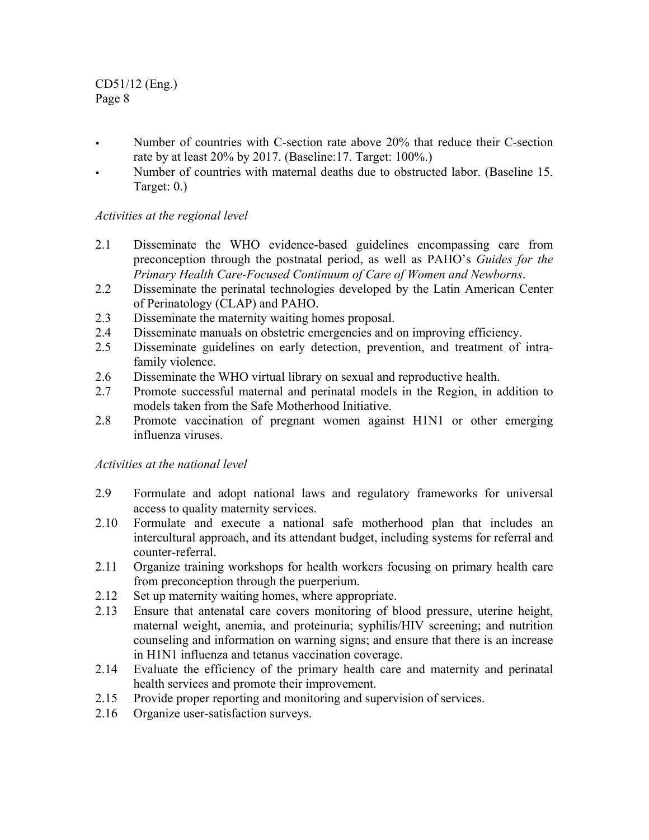CD51/12 (Eng.) Page 8

- Number of countries with C-section rate above 20% that reduce their C-section rate by at least 20% by 2017. (Baseline:17. Target: 100%.)
- Number of countries with maternal deaths due to obstructed labor. (Baseline 15. Target: 0.)

# *Activities at the regional level*

- 2.1 Disseminate the WHO evidence-based guidelines encompassing care from preconception through the postnatal period, as well as PAHO's *Guides for the Primary Health Care-Focused Continuum of Care of Women and Newborns*.
- 2.2 Disseminate the perinatal technologies developed by the Latin American Center of Perinatology (CLAP) and PAHO.
- 2.3 Disseminate the maternity waiting homes proposal.
- 2.4 Disseminate manuals on obstetric emergencies and on improving efficiency.
- 2.5 Disseminate guidelines on early detection, prevention, and treatment of intrafamily violence.
- 2.6 Disseminate the WHO virtual library on sexual and reproductive health.
- 2.7 Promote successful maternal and perinatal models in the Region, in addition to models taken from the Safe Motherhood Initiative.
- 2.8 Promote vaccination of pregnant women against H1N1 or other emerging influenza viruses.

# *Activities at the national level*

- 2.9 Formulate and adopt national laws and regulatory frameworks for universal access to quality maternity services.
- 2.10 Formulate and execute a national safe motherhood plan that includes an intercultural approach, and its attendant budget, including systems for referral and counter-referral.
- 2.11 Organize training workshops for health workers focusing on primary health care from preconception through the puerperium.
- 2.12 Set up maternity waiting homes, where appropriate.
- 2.13 Ensure that antenatal care covers monitoring of blood pressure, uterine height, maternal weight, anemia, and proteinuria; syphilis/HIV screening; and nutrition counseling and information on warning signs; and ensure that there is an increase in H1N1 influenza and tetanus vaccination coverage.
- 2.14 Evaluate the efficiency of the primary health care and maternity and perinatal health services and promote their improvement.
- 2.15 Provide proper reporting and monitoring and supervision of services.
- 2.16 Organize user-satisfaction surveys.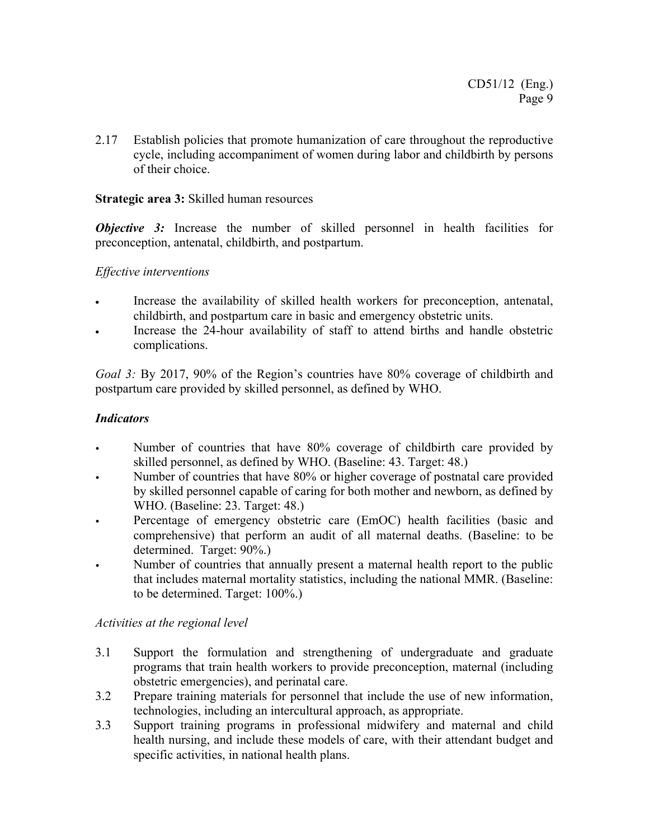2.17 Establish policies that promote humanization of care throughout the reproductive cycle, including accompaniment of women during labor and childbirth by persons of their choice.

### **Strategic area 3:** Skilled human resources

*Objective 3:* Increase the number of skilled personnel in health facilities for preconception, antenatal, childbirth, and postpartum.

### *Effective interventions*

- Increase the availability of skilled health workers for preconception, antenatal, childbirth, and postpartum care in basic and emergency obstetric units.
- Increase the 24-hour availability of staff to attend births and handle obstetric complications.

*Goal 3:* By 2017, 90% of the Region's countries have 80% coverage of childbirth and postpartum care provided by skilled personnel, as defined by WHO.

### *Indicators*

- Number of countries that have 80% coverage of childbirth care provided by skilled personnel, as defined by WHO. (Baseline: 43. Target: 48.)
- Number of countries that have 80% or higher coverage of postnatal care provided by skilled personnel capable of caring for both mother and newborn, as defined by WHO. (Baseline: 23. Target: 48.)
- Percentage of emergency obstetric care (EmOC) health facilities (basic and comprehensive) that perform an audit of all maternal deaths. (Baseline: to be determined. Target: 90%.)
- Number of countries that annually present a maternal health report to the public that includes maternal mortality statistics, including the national MMR. (Baseline: to be determined. Target: 100%.)

#### *Activities at the regional level*

- 3.1 Support the formulation and strengthening of undergraduate and graduate programs that train health workers to provide preconception, maternal (including obstetric emergencies), and perinatal care.
- 3.2 Prepare training materials for personnel that include the use of new information, technologies, including an intercultural approach, as appropriate.
- 3.3 Support training programs in professional midwifery and maternal and child health nursing, and include these models of care, with their attendant budget and specific activities, in national health plans.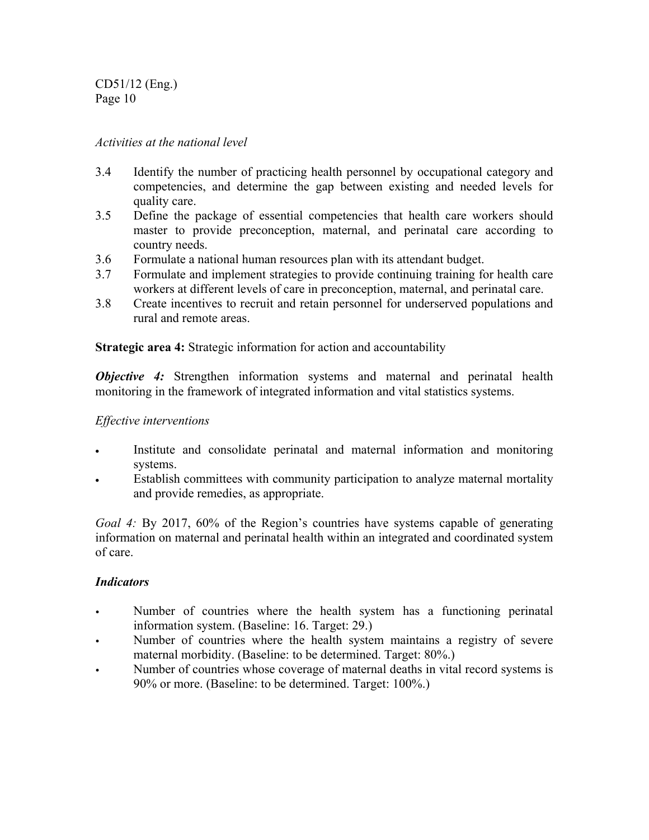CD51/12 (Eng.) Page 10

### *Activities at the national level*

- 3.4 Identify the number of practicing health personnel by occupational category and competencies, and determine the gap between existing and needed levels for quality care.
- 3.5 Define the package of essential competencies that health care workers should master to provide preconception, maternal, and perinatal care according to country needs.
- 3.6 Formulate a national human resources plan with its attendant budget.
- 3.7 Formulate and implement strategies to provide continuing training for health care workers at different levels of care in preconception, maternal, and perinatal care.
- 3.8 Create incentives to recruit and retain personnel for underserved populations and rural and remote areas.

**Strategic area 4:** Strategic information for action and accountability

*Objective 4:* Strengthen information systems and maternal and perinatal health monitoring in the framework of integrated information and vital statistics systems.

### *Effective interventions*

- Institute and consolidate perinatal and maternal information and monitoring systems.
- Establish committees with community participation to analyze maternal mortality and provide remedies, as appropriate.

*Goal 4:* By 2017, 60% of the Region's countries have systems capable of generating information on maternal and perinatal health within an integrated and coordinated system of care.

#### *Indicators*

- Number of countries where the health system has a functioning perinatal information system. (Baseline: 16. Target: 29.)
- Number of countries where the health system maintains a registry of severe maternal morbidity. (Baseline: to be determined. Target: 80%.)
- Number of countries whose coverage of maternal deaths in vital record systems is 90% or more. (Baseline: to be determined. Target: 100%.)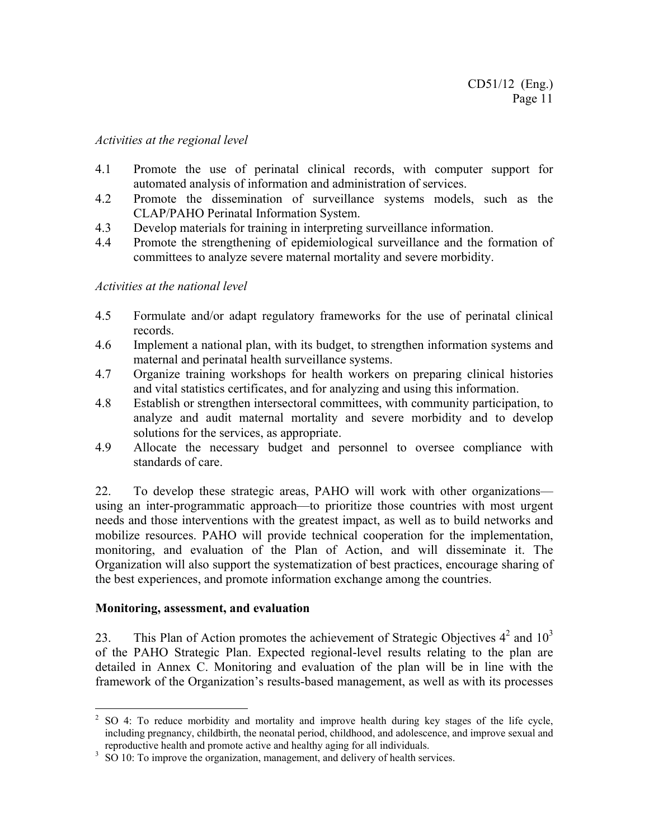#### *Activities at the regional level*

- 4.1 Promote the use of perinatal clinical records, with computer support for automated analysis of information and administration of services.
- 4.2 Promote the dissemination of surveillance systems models, such as the CLAP/PAHO Perinatal Information System.
- 4.3 Develop materials for training in interpreting surveillance information.
- 4.4 Promote the strengthening of epidemiological surveillance and the formation of committees to analyze severe maternal mortality and severe morbidity.

#### *Activities at the national level*

- 4.5 Formulate and/or adapt regulatory frameworks for the use of perinatal clinical records.
- 4.6 Implement a national plan, with its budget, to strengthen information systems and maternal and perinatal health surveillance systems.
- 4.7 Organize training workshops for health workers on preparing clinical histories and vital statistics certificates, and for analyzing and using this information.
- 4.8 Establish or strengthen intersectoral committees, with community participation, to analyze and audit maternal mortality and severe morbidity and to develop solutions for the services, as appropriate.
- 4.9 Allocate the necessary budget and personnel to oversee compliance with standards of care.

22. To develop these strategic areas, PAHO will work with other organizations using an inter-programmatic approach—to prioritize those countries with most urgent needs and those interventions with the greatest impact, as well as to build networks and mobilize resources. PAHO will provide technical cooperation for the implementation, monitoring, and evaluation of the Plan of Action, and will disseminate it. The Organization will also support the systematization of best practices, encourage sharing of the best experiences, and promote information exchange among the countries.

#### **Monitoring, assessment, and evaluation**

 $\overline{a}$ 

23. This Plan of Action promotes the achievement of Strategic Objectives  $4^2$  and  $10^3$ of the PAHO Strategic Plan. Expected regional-level results relating to the plan are detailed in Annex C. Monitoring and evaluation of the plan will be in line with the framework of the Organization's results-based management, as well as with its processes

 $2^2$  SO 4: To reduce morbidity and mortality and improve health during key stages of the life cycle, including pregnancy, childbirth, the neonatal period, childhood, and adolescence, and improve sexual and reproductive health and promote active and healthy aging for all individuals.

<sup>&</sup>lt;sup>3</sup> SO 10: To improve the organization, management, and delivery of health services.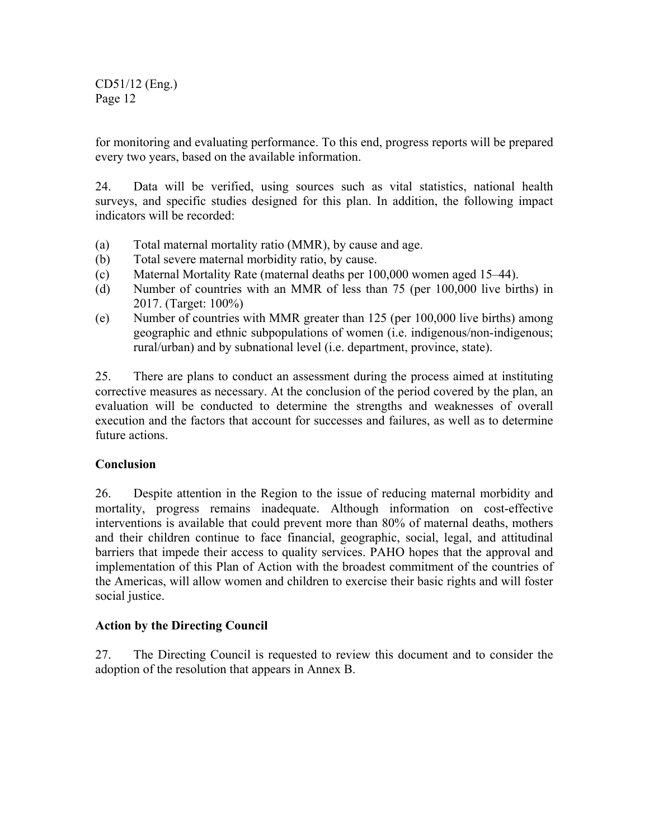CD51/12 (Eng.) Page 12

for monitoring and evaluating performance. To this end, progress reports will be prepared every two years, based on the available information.

24. Data will be verified, using sources such as vital statistics, national health surveys, and specific studies designed for this plan. In addition, the following impact indicators will be recorded:

- (a) Total maternal mortality ratio (MMR), by cause and age.
- (b) Total severe maternal morbidity ratio, by cause.
- (c) Maternal Mortality Rate (maternal deaths per 100,000 women aged 15–44).
- (d) Number of countries with an MMR of less than 75 (per 100,000 live births) in 2017. (Target: 100%)
- (e) Number of countries with MMR greater than 125 (per 100,000 live births) among geographic and ethnic subpopulations of women (i.e. indigenous/non-indigenous; rural/urban) and by subnational level (i.e. department, province, state).

25. There are plans to conduct an assessment during the process aimed at instituting corrective measures as necessary. At the conclusion of the period covered by the plan, an evaluation will be conducted to determine the strengths and weaknesses of overall execution and the factors that account for successes and failures, as well as to determine future actions.

# **Conclusion**

26. Despite attention in the Region to the issue of reducing maternal morbidity and mortality, progress remains inadequate. Although information on cost-effective interventions is available that could prevent more than 80% of maternal deaths, mothers and their children continue to face financial, geographic, social, legal, and attitudinal barriers that impede their access to quality services. PAHO hopes that the approval and implementation of this Plan of Action with the broadest commitment of the countries of the Americas, will allow women and children to exercise their basic rights and will foster social justice.

# **Action by the Directing Council**

27. The Directing Council is requested to review this document and to consider the adoption of the resolution that appears in Annex B.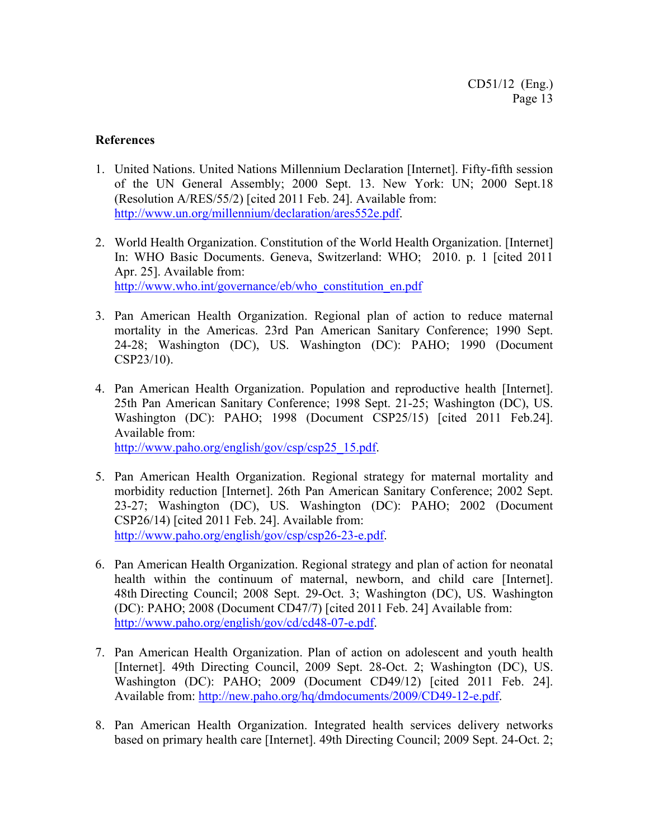### **References**

- 1. United Nations. United Nations Millennium Declaration [Internet]. Fifty-fifth session of the UN General Assembly; 2000 Sept. 13. New York: UN; 2000 Sept.18 (Resolution A/RES/55/2) [cited 2011 Feb. 24]. Available from: http://www.un.org/millennium/declaration/ares552e.pdf.
- 2. World Health Organization. Constitution of the World Health Organization. [Internet] In: WHO Basic Documents. Geneva, Switzerland: WHO; 2010. p. 1 [cited 2011 Apr. 25]. Available from: http://www.who.int/governance/eb/who\_constitution\_en.pdf
- 3. Pan American Health Organization. Regional plan of action to reduce maternal mortality in the Americas. 23rd Pan American Sanitary Conference; 1990 Sept. 24-28; Washington (DC), US. Washington (DC): PAHO; 1990 (Document CSP23/10).
- 4. Pan American Health Organization. Population and reproductive health [Internet]. 25th Pan American Sanitary Conference; 1998 Sept. 21-25; Washington (DC), US. Washington (DC): PAHO; 1998 (Document CSP25/15) [cited 2011 Feb.24]. Available from: http://www.paho.org/english/gov/csp/csp25\_15.pdf.
- 5. Pan American Health Organization. Regional strategy for maternal mortality and morbidity reduction [Internet]. 26th Pan American Sanitary Conference; 2002 Sept. 23-27; Washington (DC), US. Washington (DC): PAHO; 2002 (Document CSP26/14) [cited 2011 Feb. 24]. Available from: http://www.paho.org/english/gov/csp/csp26-23-e.pdf.
- 6. Pan American Health Organization. Regional strategy and plan of action for neonatal health within the continuum of maternal, newborn, and child care [Internet]. 48th Directing Council; 2008 Sept. 29-Oct. 3; Washington (DC), US. Washington (DC): PAHO; 2008 (Document CD47/7) [cited 2011 Feb. 24] Available from: http://www.paho.org/english/gov/cd/cd48-07-e.pdf.
- 7. Pan American Health Organization. Plan of action on adolescent and youth health [Internet]. 49th Directing Council, 2009 Sept. 28-Oct. 2; Washington (DC), US. Washington (DC): PAHO; 2009 (Document CD49/12) [cited 2011 Feb. 24]. Available from: http://new.paho.org/hq/dmdocuments/2009/CD49-12-e.pdf.
- 8. Pan American Health Organization. Integrated health services delivery networks based on primary health care [Internet]. 49th Directing Council; 2009 Sept. 24-Oct. 2;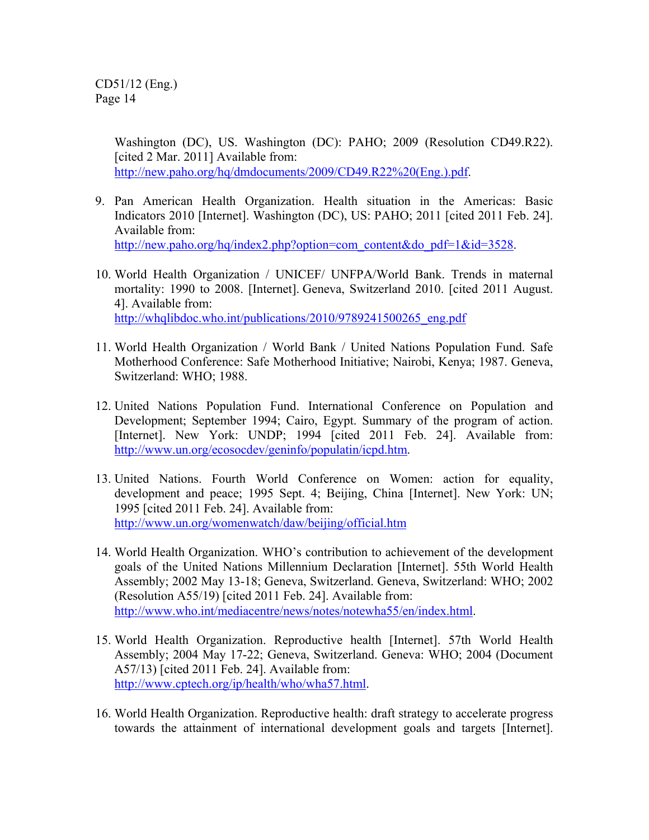Washington (DC), US. Washington (DC): PAHO; 2009 (Resolution CD49.R22). [cited 2 Mar. 2011] Available from: http://new.paho.org/hq/dmdocuments/2009/CD49.R22%20(Eng.).pdf.

- 9. Pan American Health Organization. Health situation in the Americas: Basic Indicators 2010 [Internet]. Washington (DC), US: PAHO; 2011 [cited 2011 Feb. 24]. Available from: http://new.paho.org/hq/index2.php?option=com\_content&do\_pdf=1&id=3528.
- 10. World Health Organization / UNICEF/ UNFPA/World Bank. Trends in maternal mortality: 1990 to 2008. [Internet]. Geneva, Switzerland 2010. [cited 2011 August. 4]. Available from: http://whqlibdoc.who.int/publications/2010/9789241500265\_eng.pdf
- 11. World Health Organization / World Bank / United Nations Population Fund. Safe Motherhood Conference: Safe Motherhood Initiative; Nairobi, Kenya; 1987. Geneva, Switzerland: WHO; 1988.
- 12. United Nations Population Fund. International Conference on Population and Development; September 1994; Cairo, Egypt. Summary of the program of action. [Internet]. New York: UNDP; 1994 [cited 2011 Feb. 24]. Available from: http://www.un.org/ecosocdev/geninfo/populatin/icpd.htm.
- 13. United Nations. Fourth World Conference on Women: action for equality, development and peace; 1995 Sept. 4; Beijing, China [Internet]. New York: UN; 1995 [cited 2011 Feb. 24]. Available from: http://www.un.org/womenwatch/daw/beijing/official.htm
- 14. World Health Organization. WHO's contribution to achievement of the development goals of the United Nations Millennium Declaration [Internet]. 55th World Health Assembly; 2002 May 13-18; Geneva, Switzerland. Geneva, Switzerland: WHO; 2002 (Resolution A55/19) [cited 2011 Feb. 24]. Available from: http://www.who.int/mediacentre/news/notes/notewha55/en/index.html.
- 15. World Health Organization. Reproductive health [Internet]. 57th World Health Assembly; 2004 May 17-22; Geneva, Switzerland. Geneva: WHO; 2004 (Document A57/13) [cited 2011 Feb. 24]. Available from: http://www.cptech.org/ip/health/who/wha57.html.
- 16. World Health Organization. Reproductive health: draft strategy to accelerate progress towards the attainment of international development goals and targets [Internet].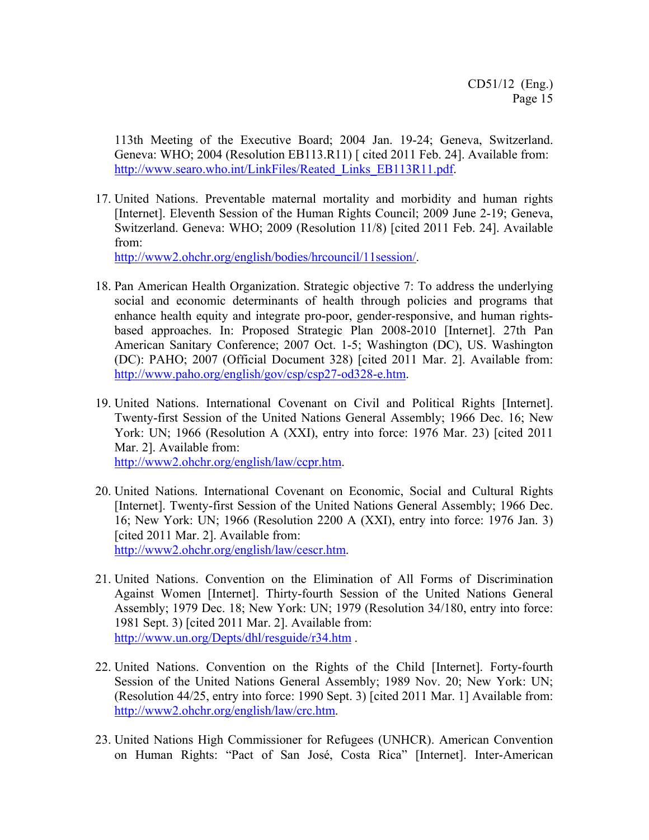113th Meeting of the Executive Board; 2004 Jan. 19-24; Geneva, Switzerland. Geneva: WHO; 2004 (Resolution EB113.R11) [ cited 2011 Feb. 24]. Available from: http://www.searo.who.int/LinkFiles/Reated\_Links\_EB113R11.pdf.

17. United Nations. Preventable maternal mortality and morbidity and human rights [Internet]. Eleventh Session of the Human Rights Council; 2009 June 2-19; Geneva, Switzerland. Geneva: WHO; 2009 (Resolution 11/8) [cited 2011 Feb. 24]. Available from:

http://www2.ohchr.org/english/bodies/hrcouncil/11session/.

- 18. Pan American Health Organization. Strategic objective 7: To address the underlying social and economic determinants of health through policies and programs that enhance health equity and integrate pro-poor, gender-responsive, and human rightsbased approaches. In: Proposed Strategic Plan 2008-2010 [Internet]. 27th Pan American Sanitary Conference; 2007 Oct. 1-5; Washington (DC), US. Washington (DC): PAHO; 2007 (Official Document 328) [cited 2011 Mar. 2]. Available from: http://www.paho.org/english/gov/csp/csp27-od328-e.htm.
- 19. United Nations. International Covenant on Civil and Political Rights [Internet]. Twenty-first Session of the United Nations General Assembly; 1966 Dec. 16; New York: UN; 1966 (Resolution A (XXI), entry into force: 1976 Mar. 23) [cited 2011 Mar. 2]. Available from: http://www2.ohchr.org/english/law/ccpr.htm.
- 20. United Nations. International Covenant on Economic, Social and Cultural Rights [Internet]. Twenty-first Session of the United Nations General Assembly; 1966 Dec.
- 16; New York: UN; 1966 (Resolution 2200 A (XXI), entry into force: 1976 Jan. 3) [cited 2011 Mar. 2]. Available from:

http://www2.ohchr.org/english/law/cescr.htm.

- 21. United Nations. Convention on the Elimination of All Forms of Discrimination Against Women [Internet]. Thirty-fourth Session of the United Nations General Assembly; 1979 Dec. 18; New York: UN; 1979 (Resolution 34/180, entry into force: 1981 Sept. 3) [cited 2011 Mar. 2]. Available from: http://www.un.org/Depts/dhl/resguide/r34.htm .
- 22. United Nations. Convention on the Rights of the Child [Internet]. Forty-fourth Session of the United Nations General Assembly; 1989 Nov. 20; New York: UN; (Resolution 44/25, entry into force: 1990 Sept. 3) [cited 2011 Mar. 1] Available from: http://www2.ohchr.org/english/law/crc.htm.
- 23. United Nations High Commissioner for Refugees (UNHCR). American Convention on Human Rights: "Pact of San José, Costa Rica" [Internet]. Inter-American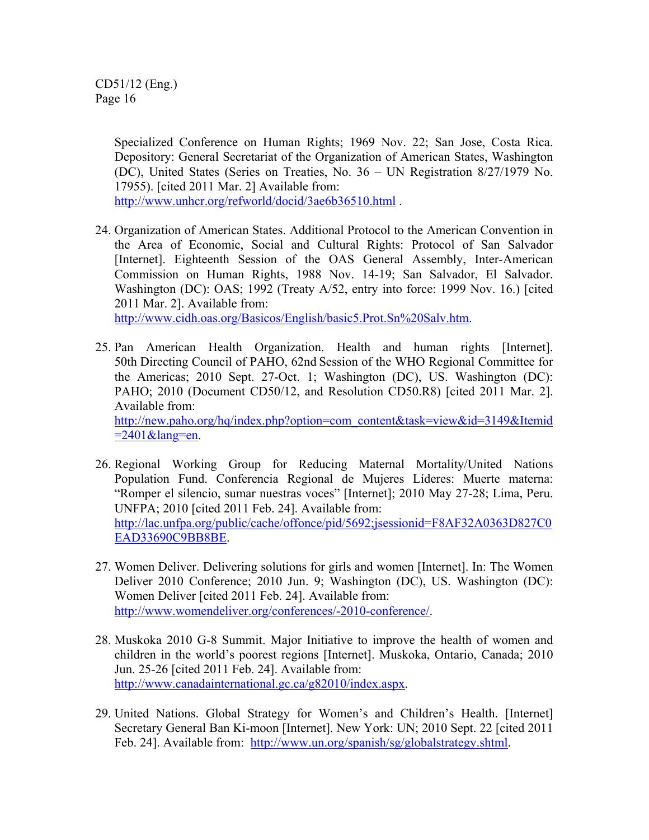Specialized Conference on Human Rights; 1969 Nov. 22; San Jose, Costa Rica. Depository: General Secretariat of the Organization of American States, Washington (DC), United States (Series on Treaties, No. 36 – UN Registration 8/27/1979 No. 17955). [cited 2011 Mar. 2] Available from:

http://www.unhcr.org/refworld/docid/3ae6b36510.html .

- 24. Organization of American States. Additional Protocol to the American Convention in the Area of Economic, Social and Cultural Rights: Protocol of San Salvador [Internet]. Eighteenth Session of the OAS General Assembly, Inter-American Commission on Human Rights, 1988 Nov. 14-19; San Salvador, El Salvador. Washington (DC): OAS; 1992 (Treaty A/52, entry into force: 1999 Nov. 16.) [cited 2011 Mar. 2]. Available from: http://www.cidh.oas.org/Basicos/English/basic5.Prot.Sn%20Salv.htm.
- 25. Pan American Health Organization. Health and human rights [Internet]. 50th Directing Council of PAHO, 62nd Session of the WHO Regional Committee for the Americas; 2010 Sept. 27-Oct. 1; Washington (DC), US. Washington (DC): PAHO; 2010 (Document CD50/12, and Resolution CD50.R8) [cited 2011 Mar. 2]. Available from: http://new.paho.org/hq/index.php?option=com\_content&task=view&id=3149&Itemid

 $=2401\&$ lang=en.

- 26. Regional Working Group for Reducing Maternal Mortality/United Nations Population Fund. Conferencia Regional de Mujeres Líderes: Muerte materna: "Romper el silencio, sumar nuestras voces" [Internet]; 2010 May 27-28; Lima, Peru. UNFPA; 2010 [cited 2011 Feb. 24]. Available from: http://lac.unfpa.org/public/cache/offonce/pid/5692;jsessionid=F8AF32A0363D827C0 EAD33690C9BB8BE.
- 27. Women Deliver. Delivering solutions for girls and women [Internet]. In: The Women Deliver 2010 Conference; 2010 Jun. 9; Washington (DC), US. Washington (DC): Women Deliver [cited 2011 Feb. 24]. Available from: http://www.womendeliver.org/conferences/-2010-conference/.
- 28. Muskoka 2010 G-8 Summit. Major Initiative to improve the health of women and children in the world's poorest regions [Internet]. Muskoka, Ontario, Canada; 2010 Jun. 25-26 [cited 2011 Feb. 24]. Available from: http://www.canadainternational.gc.ca/g82010/index.aspx.
- 29. United Nations. Global Strategy for Women's and Children's Health. [Internet] Secretary General Ban Ki-moon [Internet]. New York: UN; 2010 Sept. 22 [cited 2011 Feb. 24]. Available from: http://www.un.org/spanish/sg/globalstrategy.shtml.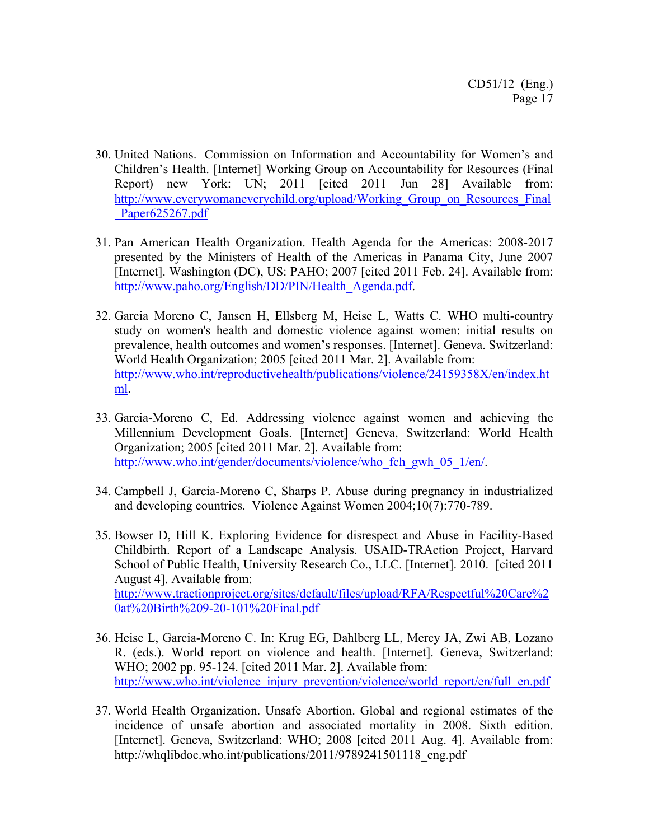- 30. United Nations. Commission on Information and Accountability for Women's and Children's Health. [Internet] Working Group on Accountability for Resources (Final Report) new York: UN; 2011 [cited 2011 Jun 28] Available from: http://www.everywomaneverychild.org/upload/Working Group on Resources Final Paper625267.pdf
- 31. Pan American Health Organization. Health Agenda for the Americas: 2008-2017 presented by the Ministers of Health of the Americas in Panama City, June 2007 [Internet]. Washington (DC), US: PAHO; 2007 [cited 2011 Feb. 24]. Available from: http://www.paho.org/English/DD/PIN/Health\_Agenda.pdf.
- 32. Garcia Moreno C, Jansen H, Ellsberg M, Heise L, Watts C. WHO multi-country study on women's health and domestic violence against women: initial results on prevalence, health outcomes and women's responses. [Internet]. Geneva. Switzerland: World Health Organization; 2005 [cited 2011 Mar. 2]. Available from: http://www.who.int/reproductivehealth/publications/violence/24159358X/en/index.ht ml.
- 33. Garcia-Moreno C, Ed. Addressing violence against women and achieving the Millennium Development Goals. [Internet] Geneva, Switzerland: World Health Organization; 2005 [cited 2011 Mar. 2]. Available from: http://www.who.int/gender/documents/violence/who\_fch\_gwh\_05\_1/en/.
- 34. Campbell J, Garcia-Moreno C, Sharps P. Abuse during pregnancy in industrialized and developing countries. Violence Against Women 2004;10(7):770-789.
- 35. Bowser D, Hill K. Exploring Evidence for disrespect and Abuse in Facility-Based Childbirth. Report of a Landscape Analysis. USAID-TRAction Project, Harvard School of Public Health, University Research Co., LLC. [Internet]. 2010. [cited 2011 August 4]. Available from: http://www.tractionproject.org/sites/default/files/upload/RFA/Respectful%20Care%2 0at%20Birth%209-20-101%20Final.pdf
- 36. Heise L, Garcia-Moreno C. In: Krug EG, Dahlberg LL, Mercy JA, Zwi AB, Lozano R. (eds.). World report on violence and health. [Internet]. Geneva, Switzerland: WHO; 2002 pp. 95-124. [cited 2011 Mar. 2]. Available from: http://www.who.int/violence\_injury\_prevention/violence/world\_report/en/full\_en.pdf
- 37. World Health Organization. Unsafe Abortion. Global and regional estimates of the incidence of unsafe abortion and associated mortality in 2008. Sixth edition. [Internet]. Geneva, Switzerland: WHO; 2008 [cited 2011 Aug. 4]. Available from: http://whqlibdoc.who.int/publications/2011/9789241501118\_eng.pdf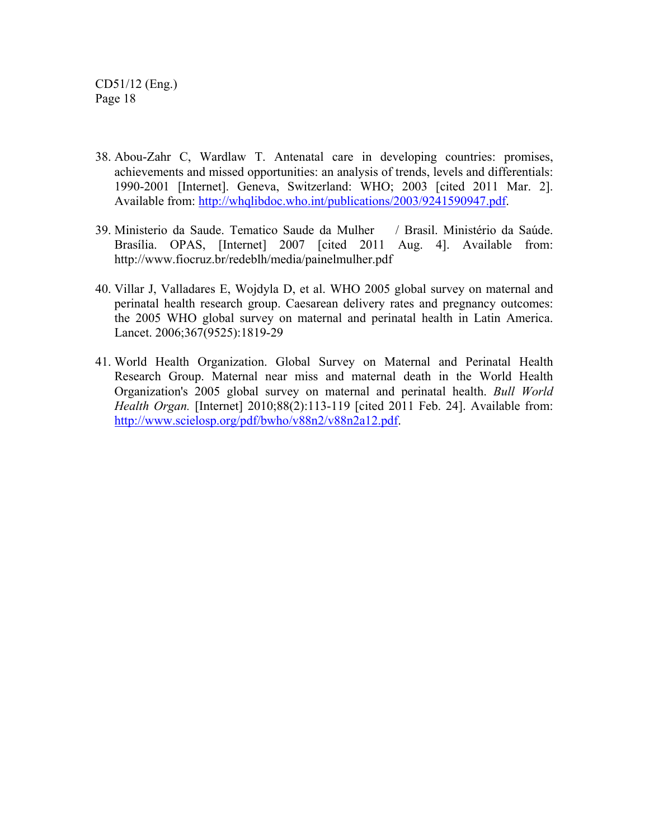- 38. Abou-Zahr C, Wardlaw T. Antenatal care in developing countries: promises, achievements and missed opportunities: an analysis of trends, levels and differentials: 1990-2001 [Internet]. Geneva, Switzerland: WHO; 2003 [cited 2011 Mar. 2]. Available from: http://whqlibdoc.who.int/publications/2003/9241590947.pdf.
- 39. Ministerio da Saude. Tematico Saude da Mulher / Brasil. Ministério da Saúde. Brasília. OPAS, [Internet] 2007 [cited 2011 Aug. 4]. Available from: http://www.fiocruz.br/redeblh/media/painelmulher.pdf
- 40. Villar J, Valladares E, Wojdyla D, et al. WHO 2005 global survey on maternal and perinatal health research group. Caesarean delivery rates and pregnancy outcomes: the 2005 WHO global survey on maternal and perinatal health in Latin America. Lancet. 2006;367(9525):1819-29
- 41. World Health Organization. Global Survey on Maternal and Perinatal Health Research Group. Maternal near miss and maternal death in the World Health Organization's 2005 global survey on maternal and perinatal health. *Bull World Health Organ.* [Internet] 2010;88(2):113-119 [cited 2011 Feb. 24]. Available from: http://www.scielosp.org/pdf/bwho/v88n2/v88n2a12.pdf.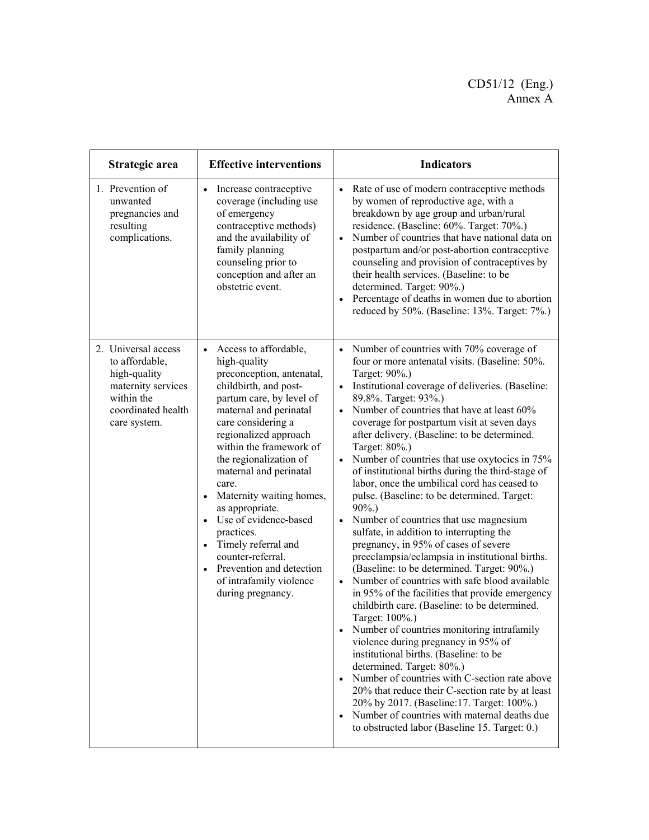# CD51/12 (Eng.) Annex A

| Strategic area                                                                                                                  | <b>Effective interventions</b>                                                                                                                                                                                                                                                                                                                                                                                                                                                                                                                                          | <b>Indicators</b>                                                                                                                                                                                                                                                                                                                                                                                                                                                                                                                                                                                                                                                                                                                                                                                                                                                                                                                                                                                                                                                                                                                                                                                                                                                                                                                                                                                                                                                |
|---------------------------------------------------------------------------------------------------------------------------------|-------------------------------------------------------------------------------------------------------------------------------------------------------------------------------------------------------------------------------------------------------------------------------------------------------------------------------------------------------------------------------------------------------------------------------------------------------------------------------------------------------------------------------------------------------------------------|------------------------------------------------------------------------------------------------------------------------------------------------------------------------------------------------------------------------------------------------------------------------------------------------------------------------------------------------------------------------------------------------------------------------------------------------------------------------------------------------------------------------------------------------------------------------------------------------------------------------------------------------------------------------------------------------------------------------------------------------------------------------------------------------------------------------------------------------------------------------------------------------------------------------------------------------------------------------------------------------------------------------------------------------------------------------------------------------------------------------------------------------------------------------------------------------------------------------------------------------------------------------------------------------------------------------------------------------------------------------------------------------------------------------------------------------------------------|
| 1. Prevention of<br>unwanted<br>pregnancies and<br>resulting<br>complications.                                                  | Increase contraceptive<br>$\bullet$<br>coverage (including use<br>of emergency<br>contraceptive methods)<br>and the availability of<br>family planning<br>counseling prior to<br>conception and after an<br>obstetric event.                                                                                                                                                                                                                                                                                                                                            | Rate of use of modern contraceptive methods<br>by women of reproductive age, with a<br>breakdown by age group and urban/rural<br>residence. (Baseline: 60%. Target: 70%.)<br>Number of countries that have national data on<br>$\bullet$<br>postpartum and/or post-abortion contraceptive<br>counseling and provision of contraceptives by<br>their health services. (Baseline: to be<br>determined. Target: 90%.)<br>Percentage of deaths in women due to abortion<br>$\bullet$<br>reduced by 50%. (Baseline: 13%. Target: 7%.)                                                                                                                                                                                                                                                                                                                                                                                                                                                                                                                                                                                                                                                                                                                                                                                                                                                                                                                                 |
| 2. Universal access<br>to affordable,<br>high-quality<br>maternity services<br>within the<br>coordinated health<br>care system. | Access to affordable,<br>$\bullet$<br>high-quality<br>preconception, antenatal,<br>childbirth, and post-<br>partum care, by level of<br>maternal and perinatal<br>care considering a<br>regionalized approach<br>within the framework of<br>the regionalization of<br>maternal and perinatal<br>care.<br>Maternity waiting homes,<br>$\bullet$<br>as appropriate.<br>Use of evidence-based<br>$\bullet$<br>practices.<br>Timely referral and<br>$\bullet$<br>counter-referral.<br>Prevention and detection<br>$\bullet$<br>of intrafamily violence<br>during pregnancy. | • Number of countries with 70% coverage of<br>four or more antenatal visits. (Baseline: 50%.<br>Target: 90%.)<br>Institutional coverage of deliveries. (Baseline:<br>89.8%. Target: 93%.)<br>Number of countries that have at least 60%<br>$\bullet$<br>coverage for postpartum visit at seven days<br>after delivery. (Baseline: to be determined.<br>Target: 80%.)<br>Number of countries that use oxytocics in 75%<br>$\bullet$<br>of institutional births during the third-stage of<br>labor, once the umbilical cord has ceased to<br>pulse. (Baseline: to be determined. Target:<br>$90\%$ .)<br>Number of countries that use magnesium<br>$\bullet$<br>sulfate, in addition to interrupting the<br>pregnancy, in 95% of cases of severe<br>preeclampsia/eclampsia in institutional births.<br>(Baseline: to be determined. Target: 90%.)<br>Number of countries with safe blood available<br>$\bullet$<br>in 95% of the facilities that provide emergency<br>childbirth care. (Baseline: to be determined.<br>Target: 100%.)<br>Number of countries monitoring intrafamily<br>violence during pregnancy in 95% of<br>institutional births. (Baseline: to be<br>determined. Target: 80%.)<br>Number of countries with C-section rate above<br>20% that reduce their C-section rate by at least<br>20% by 2017. (Baseline: 17. Target: 100%.)<br>Number of countries with maternal deaths due<br>$\bullet$<br>to obstructed labor (Baseline 15. Target: 0.) |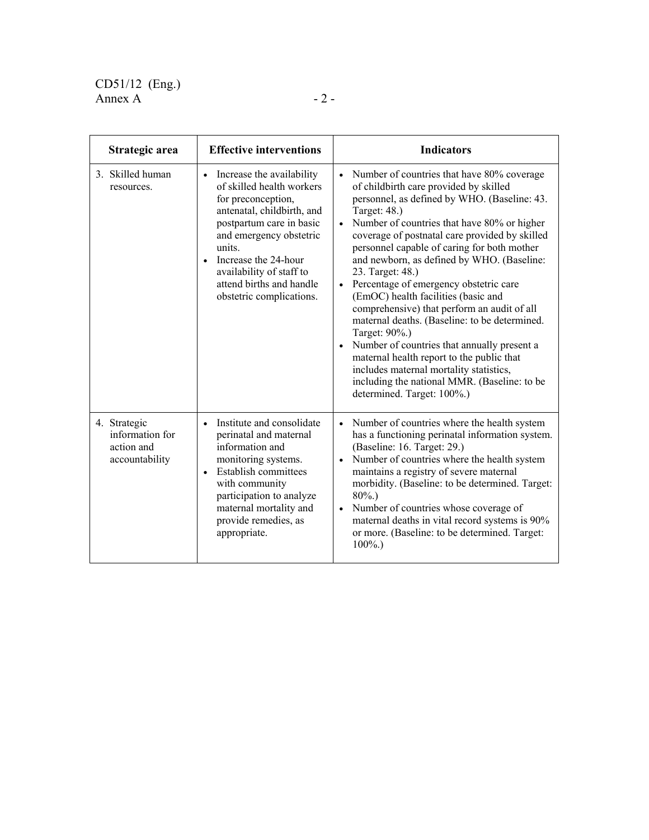| Strategic area                                                  | <b>Effective interventions</b>                                                                                                                                                                                                                                                                                    | <b>Indicators</b>                                                                                                                                                                                                                                                                                                                                                                                                                                                                                                                                                                                                                                                                                                                                                                                                                                 |
|-----------------------------------------------------------------|-------------------------------------------------------------------------------------------------------------------------------------------------------------------------------------------------------------------------------------------------------------------------------------------------------------------|---------------------------------------------------------------------------------------------------------------------------------------------------------------------------------------------------------------------------------------------------------------------------------------------------------------------------------------------------------------------------------------------------------------------------------------------------------------------------------------------------------------------------------------------------------------------------------------------------------------------------------------------------------------------------------------------------------------------------------------------------------------------------------------------------------------------------------------------------|
| 3. Skilled human<br>resources.                                  | Increase the availability<br>$\bullet$<br>of skilled health workers<br>for preconception,<br>antenatal, childbirth, and<br>postpartum care in basic<br>and emergency obstetric<br>units.<br>Increase the 24-hour<br>$\bullet$<br>availability of staff to<br>attend births and handle<br>obstetric complications. | Number of countries that have 80% coverage<br>$\bullet$<br>of childbirth care provided by skilled<br>personnel, as defined by WHO. (Baseline: 43.<br>Target: 48.)<br>Number of countries that have 80% or higher<br>$\bullet$<br>coverage of postnatal care provided by skilled<br>personnel capable of caring for both mother<br>and newborn, as defined by WHO. (Baseline:<br>23. Target: 48.)<br>Percentage of emergency obstetric care<br>$\bullet$<br>(EmOC) health facilities (basic and<br>comprehensive) that perform an audit of all<br>maternal deaths. (Baseline: to be determined.<br>Target: 90%.)<br>Number of countries that annually present a<br>$\bullet$<br>maternal health report to the public that<br>includes maternal mortality statistics,<br>including the national MMR. (Baseline: to be<br>determined. Target: 100%.) |
| 4. Strategic<br>information for<br>action and<br>accountability | Institute and consolidate<br>$\bullet$<br>perinatal and maternal<br>information and<br>monitoring systems.<br><b>Establish committees</b><br>$\bullet$<br>with community<br>participation to analyze<br>maternal mortality and<br>provide remedies, as<br>appropriate.                                            | Number of countries where the health system<br>$\bullet$<br>has a functioning perinatal information system.<br>(Baseline: 16. Target: 29.)<br>Number of countries where the health system<br>$\bullet$<br>maintains a registry of severe maternal<br>morbidity. (Baseline: to be determined. Target:<br>$80\%$ .)<br>Number of countries whose coverage of<br>$\bullet$<br>maternal deaths in vital record systems is 90%<br>or more. (Baseline: to be determined. Target:<br>$100\%$ .)                                                                                                                                                                                                                                                                                                                                                          |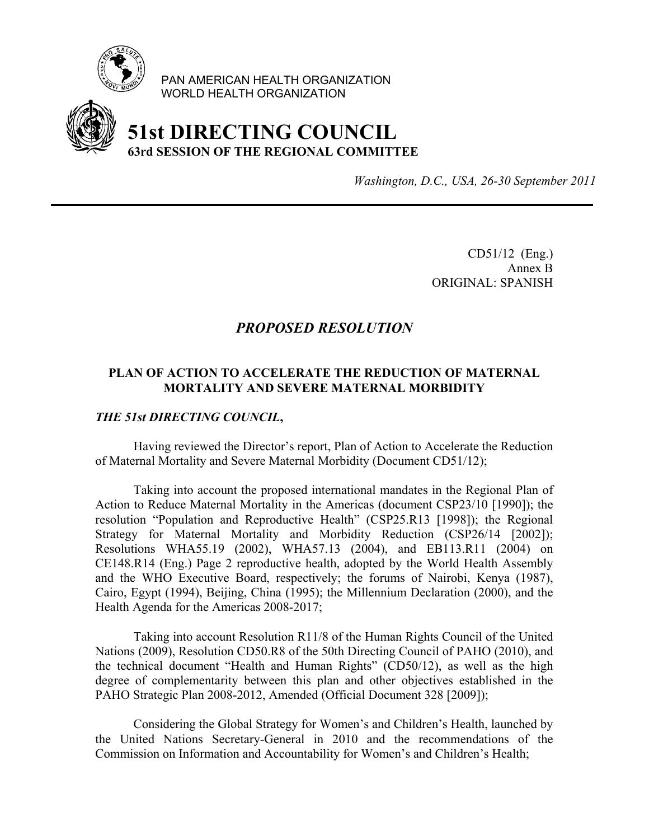

PAN AMERICAN HEALTH ORGANIZATION WORLD HEALTH ORGANIZATION



# **51st DIRECTING COUNCIL 63rd SESSION OF THE REGIONAL COMMITTEE**

*Washington, D.C., USA, 26-30 September 2011*

CD51/12 (Eng.) Annex B ORIGINAL: SPANISH

# *PROPOSED RESOLUTION*

# **PLAN OF ACTION TO ACCELERATE THE REDUCTION OF MATERNAL MORTALITY AND SEVERE MATERNAL MORBIDITY**

# *THE 51st DIRECTING COUNCIL***,**

 Having reviewed the Director's report, Plan of Action to Accelerate the Reduction of Maternal Mortality and Severe Maternal Morbidity (Document CD51/12);

 Taking into account the proposed international mandates in the Regional Plan of Action to Reduce Maternal Mortality in the Americas (document CSP23/10 [1990]); the resolution "Population and Reproductive Health" (CSP25.R13 [1998]); the Regional Strategy for Maternal Mortality and Morbidity Reduction (CSP26/14 [2002]); Resolutions WHA55.19 (2002), WHA57.13 (2004), and EB113.R11 (2004) on CE148.R14 (Eng.) Page 2 reproductive health, adopted by the World Health Assembly and the WHO Executive Board, respectively; the forums of Nairobi, Kenya (1987), Cairo, Egypt (1994), Beijing, China (1995); the Millennium Declaration (2000), and the Health Agenda for the Americas 2008-2017;

 Taking into account Resolution R11/8 of the Human Rights Council of the United Nations (2009), Resolution CD50.R8 of the 50th Directing Council of PAHO (2010), and the technical document "Health and Human Rights" (CD50/12), as well as the high degree of complementarity between this plan and other objectives established in the PAHO Strategic Plan 2008-2012, Amended (Official Document 328 [2009]);

 Considering the Global Strategy for Women's and Children's Health, launched by the United Nations Secretary-General in 2010 and the recommendations of the Commission on Information and Accountability for Women's and Children's Health;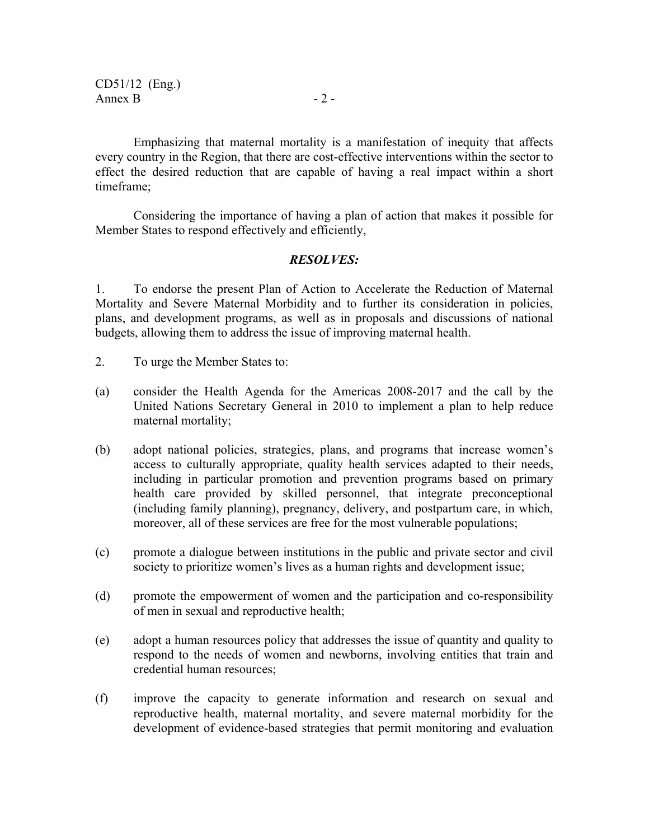Emphasizing that maternal mortality is a manifestation of inequity that affects every country in the Region, that there are cost-effective interventions within the sector to effect the desired reduction that are capable of having a real impact within a short timeframe;

 Considering the importance of having a plan of action that makes it possible for Member States to respond effectively and efficiently,

### *RESOLVES:*

1. To endorse the present Plan of Action to Accelerate the Reduction of Maternal Mortality and Severe Maternal Morbidity and to further its consideration in policies, plans, and development programs, as well as in proposals and discussions of national budgets, allowing them to address the issue of improving maternal health.

- 2. To urge the Member States to:
- (a) consider the Health Agenda for the Americas 2008-2017 and the call by the United Nations Secretary General in 2010 to implement a plan to help reduce maternal mortality;
- (b) adopt national policies, strategies, plans, and programs that increase women's access to culturally appropriate, quality health services adapted to their needs, including in particular promotion and prevention programs based on primary health care provided by skilled personnel, that integrate preconceptional (including family planning), pregnancy, delivery, and postpartum care, in which, moreover, all of these services are free for the most vulnerable populations;
- (c) promote a dialogue between institutions in the public and private sector and civil society to prioritize women's lives as a human rights and development issue;
- (d) promote the empowerment of women and the participation and co-responsibility of men in sexual and reproductive health;
- (e) adopt a human resources policy that addresses the issue of quantity and quality to respond to the needs of women and newborns, involving entities that train and credential human resources;
- (f) improve the capacity to generate information and research on sexual and reproductive health, maternal mortality, and severe maternal morbidity for the development of evidence-based strategies that permit monitoring and evaluation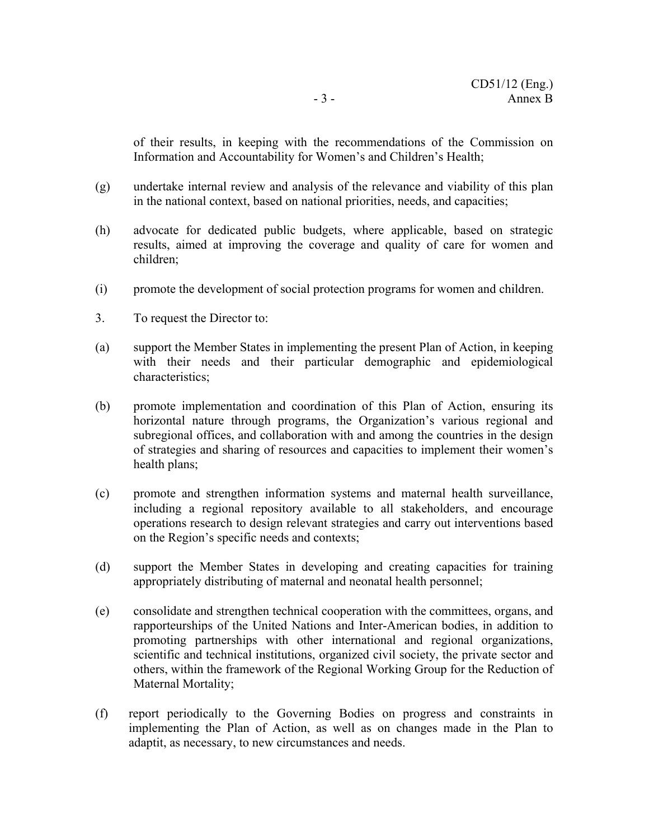of their results, in keeping with the recommendations of the Commission on Information and Accountability for Women's and Children's Health;

- (g) undertake internal review and analysis of the relevance and viability of this plan in the national context, based on national priorities, needs, and capacities;
- (h) advocate for dedicated public budgets, where applicable, based on strategic results, aimed at improving the coverage and quality of care for women and children;
- (i) promote the development of social protection programs for women and children.
- 3. To request the Director to:
- (a) support the Member States in implementing the present Plan of Action, in keeping with their needs and their particular demographic and epidemiological characteristics;
- (b) promote implementation and coordination of this Plan of Action, ensuring its horizontal nature through programs, the Organization's various regional and subregional offices, and collaboration with and among the countries in the design of strategies and sharing of resources and capacities to implement their women's health plans;
- (c) promote and strengthen information systems and maternal health surveillance, including a regional repository available to all stakeholders, and encourage operations research to design relevant strategies and carry out interventions based on the Region's specific needs and contexts;
- (d) support the Member States in developing and creating capacities for training appropriately distributing of maternal and neonatal health personnel;
- (e) consolidate and strengthen technical cooperation with the committees, organs, and rapporteurships of the United Nations and Inter-American bodies, in addition to promoting partnerships with other international and regional organizations, scientific and technical institutions, organized civil society, the private sector and others, within the framework of the Regional Working Group for the Reduction of Maternal Mortality;
- (f) report periodically to the Governing Bodies on progress and constraints in implementing the Plan of Action, as well as on changes made in the Plan to adaptit, as necessary, to new circumstances and needs.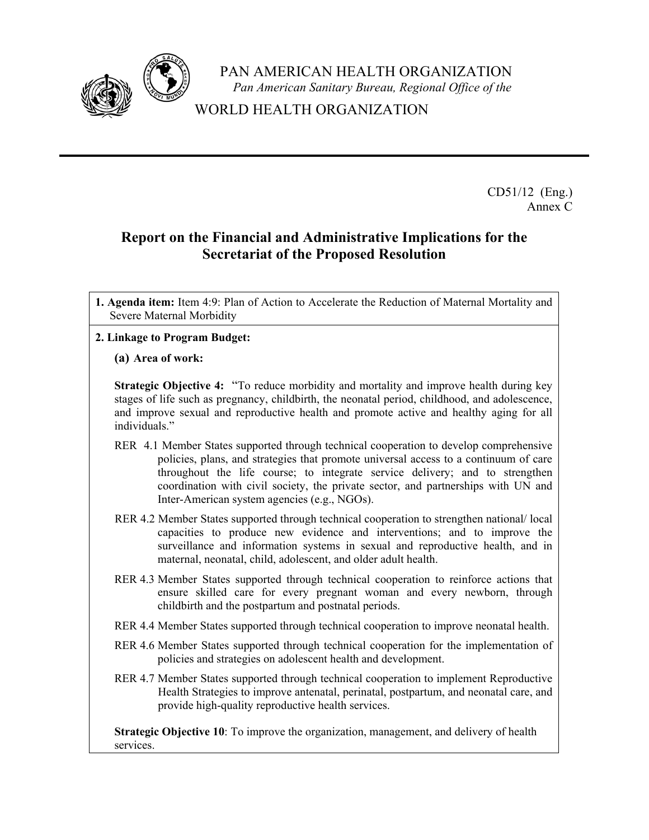

PAN AMERICAN HEALTH ORGANIZATION *Pan American Sanitary Bureau, Regional Office of the*

WORLD HEALTH ORGANIZATION

CD51/12 (Eng.) Annex C

# **Report on the Financial and Administrative Implications for the Secretariat of the Proposed Resolution**

**1. Agenda item:** Item 4:9: Plan of Action to Accelerate the Reduction of Maternal Mortality and Severe Maternal Morbidity

# **2. Linkage to Program Budget:**

#### **(a) Area of work:**

**Strategic Objective 4:** "To reduce morbidity and mortality and improve health during key stages of life such as pregnancy, childbirth, the neonatal period, childhood, and adolescence, and improve sexual and reproductive health and promote active and healthy aging for all individuals."

- RER 4.1 Member States supported through technical cooperation to develop comprehensive policies, plans, and strategies that promote universal access to a continuum of care throughout the life course; to integrate service delivery; and to strengthen coordination with civil society, the private sector, and partnerships with UN and Inter-American system agencies (e.g., NGOs).
- RER 4.2 Member States supported through technical cooperation to strengthen national/ local capacities to produce new evidence and interventions; and to improve the surveillance and information systems in sexual and reproductive health, and in maternal, neonatal, child, adolescent, and older adult health.
- RER 4.3 Member States supported through technical cooperation to reinforce actions that ensure skilled care for every pregnant woman and every newborn, through childbirth and the postpartum and postnatal periods.
- RER 4.4 Member States supported through technical cooperation to improve neonatal health.
- RER 4.6 Member States supported through technical cooperation for the implementation of policies and strategies on adolescent health and development.
- RER 4.7 Member States supported through technical cooperation to implement Reproductive Health Strategies to improve antenatal, perinatal, postpartum, and neonatal care, and provide high-quality reproductive health services.

**Strategic Objective 10**: To improve the organization, management, and delivery of health services.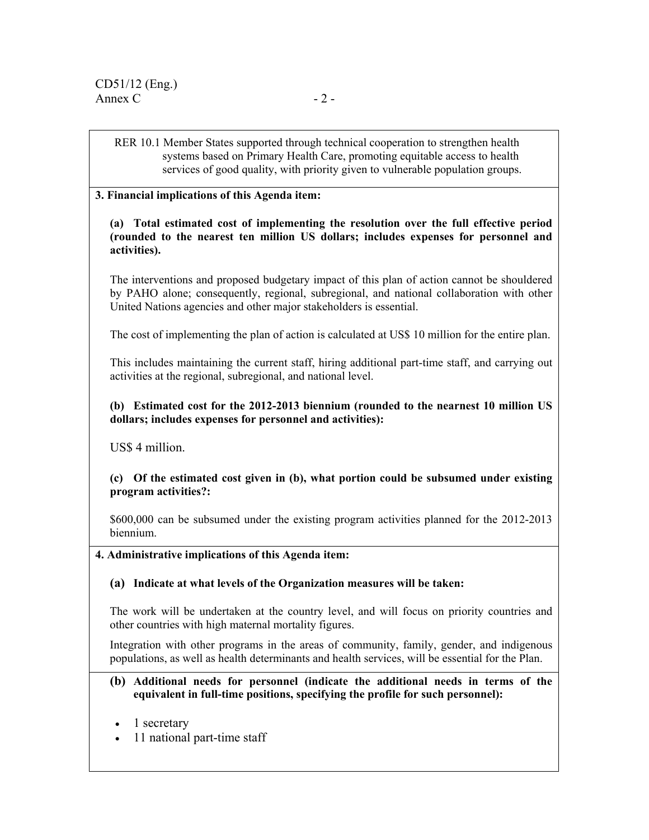RER 10.1 Member States supported through technical cooperation to strengthen health systems based on Primary Health Care, promoting equitable access to health services of good quality, with priority given to vulnerable population groups.

#### **3. Financial implications of this Agenda item:**

#### **(a) Total estimated cost of implementing the resolution over the full effective period (rounded to the nearest ten million US dollars; includes expenses for personnel and activities).**

The interventions and proposed budgetary impact of this plan of action cannot be shouldered by PAHO alone; consequently, regional, subregional, and national collaboration with other United Nations agencies and other major stakeholders is essential.

The cost of implementing the plan of action is calculated at US\$ 10 million for the entire plan.

This includes maintaining the current staff, hiring additional part-time staff, and carrying out activities at the regional, subregional, and national level.

#### **(b) Estimated cost for the 2012-2013 biennium (rounded to the nearnest 10 million US dollars; includes expenses for personnel and activities):**

US\$ 4 million.

 **(c) Of the estimated cost given in (b), what portion could be subsumed under existing program activities?:** 

\$600,000 can be subsumed under the existing program activities planned for the 2012-2013 biennium.

#### **4. Administrative implications of this Agenda item:**

**(a) Indicate at what levels of the Organization measures will be taken:** 

The work will be undertaken at the country level, and will focus on priority countries and other countries with high maternal mortality figures.

Integration with other programs in the areas of community, family, gender, and indigenous populations, as well as health determinants and health services, will be essential for the Plan.

- **(b) Additional needs for personnel (indicate the additional needs in terms of the equivalent in full-time positions, specifying the profile for such personnel):**
- 1 secretary
- 11 national part-time staff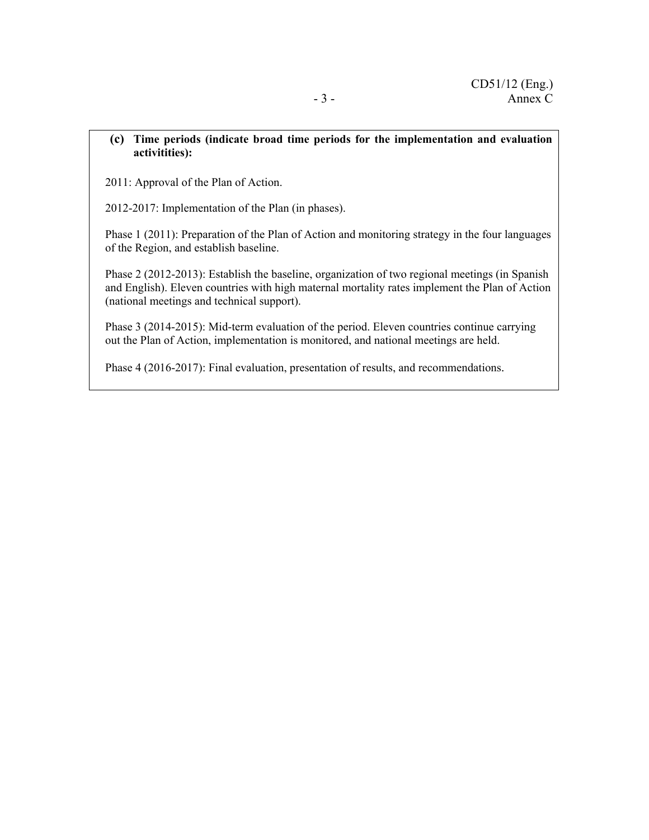#### **(c) Time periods (indicate broad time periods for the implementation and evaluation activitities):**

2011: Approval of the Plan of Action.

2012-2017: Implementation of the Plan (in phases).

Phase 1 (2011): Preparation of the Plan of Action and monitoring strategy in the four languages of the Region, and establish baseline.

Phase 2 (2012-2013): Establish the baseline, organization of two regional meetings (in Spanish and English). Eleven countries with high maternal mortality rates implement the Plan of Action (national meetings and technical support).

Phase 3 (2014-2015): Mid-term evaluation of the period. Eleven countries continue carrying out the Plan of Action, implementation is monitored, and national meetings are held.

Phase 4 (2016-2017): Final evaluation, presentation of results, and recommendations.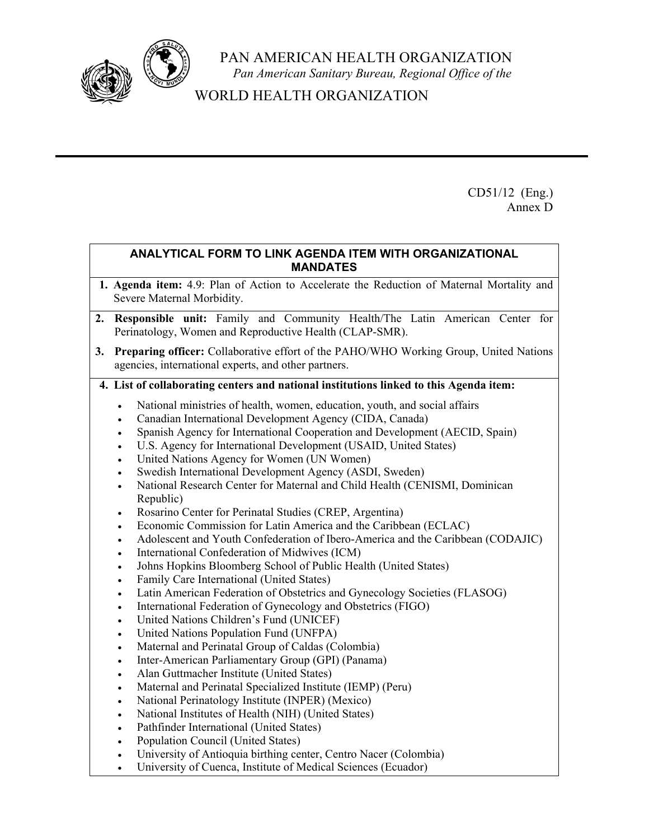

PAN AMERICAN HEALTH ORGANIZATION *Pan American Sanitary Bureau, Regional Office of the*

WORLD HEALTH ORGANIZATION

CD51/12 (Eng.) Annex D

### **ANALYTICAL FORM TO LINK AGENDA ITEM WITH ORGANIZATIONAL MANDATES**

- **1. Agenda item:** 4.9: Plan of Action to Accelerate the Reduction of Maternal Mortality and Severe Maternal Morbidity.
- **2. Responsible unit:** Family and Community Health/The Latin American Center for Perinatology, Women and Reproductive Health (CLAP-SMR).
- **3. Preparing officer:** Collaborative effort of the PAHO/WHO Working Group, United Nations agencies, international experts, and other partners.

# **4. List of collaborating centers and national institutions linked to this Agenda item:**

- National ministries of health, women, education, youth, and social affairs
- Canadian International Development Agency (CIDA, Canada)
- Spanish Agency for International Cooperation and Development (AECID, Spain)
- U.S. Agency for International Development (USAID, United States)
- United Nations Agency for Women (UN Women)
- Swedish International Development Agency (ASDI, Sweden)
- National Research Center for Maternal and Child Health (CENISMI, Dominican Republic)
- Rosarino Center for Perinatal Studies (CREP, Argentina)
- Economic Commission for Latin America and the Caribbean (ECLAC)
- Adolescent and Youth Confederation of Ibero-America and the Caribbean (CODAJIC)
- International Confederation of Midwives (ICM)
- Johns Hopkins Bloomberg School of Public Health (United States)
- Family Care International (United States)
- Latin American Federation of Obstetrics and Gynecology Societies (FLASOG)
- International Federation of Gynecology and Obstetrics (FIGO)
- United Nations Children's Fund (UNICEF)
- United Nations Population Fund (UNFPA)
- Maternal and Perinatal Group of Caldas (Colombia)
- Inter-American Parliamentary Group (GPI) (Panama)
- Alan Guttmacher Institute (United States)
- Maternal and Perinatal Specialized Institute (IEMP) (Peru)
- National Perinatology Institute (INPER) (Mexico)
- National Institutes of Health (NIH) (United States)
- Pathfinder International (United States)
- Population Council (United States)
- University of Antioquia birthing center, Centro Nacer (Colombia)
- University of Cuenca, Institute of Medical Sciences (Ecuador)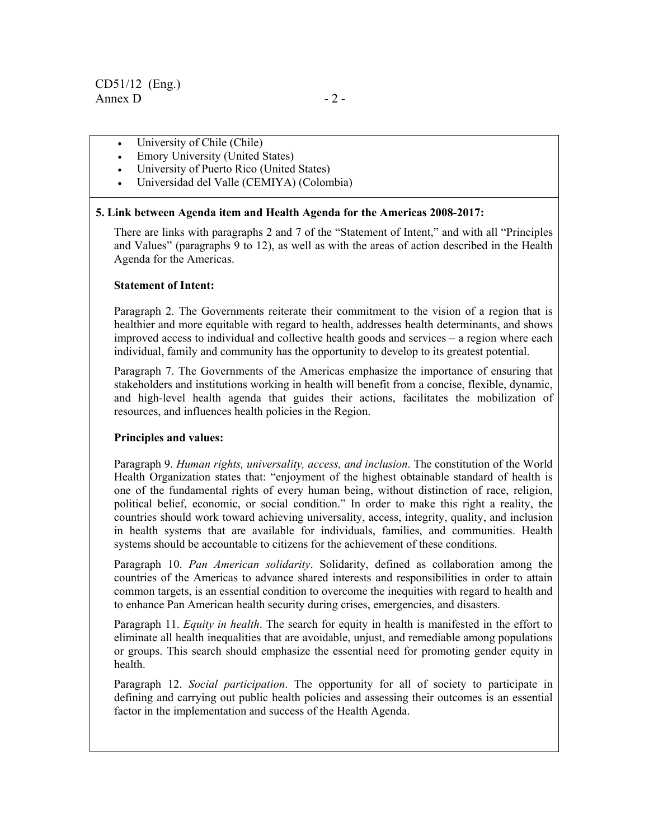- University of Chile (Chile)
- Emory University (United States)
- University of Puerto Rico (United States)
- Universidad del Valle (CEMIYA) (Colombia)

#### **5. Link between Agenda item and Health Agenda for the Americas 2008-2017:**

There are links with paragraphs 2 and 7 of the "Statement of Intent," and with all "Principles and Values" (paragraphs 9 to 12), as well as with the areas of action described in the Health Agenda for the Americas.

#### **Statement of Intent:**

Paragraph 2. The Governments reiterate their commitment to the vision of a region that is healthier and more equitable with regard to health, addresses health determinants, and shows improved access to individual and collective health goods and services – a region where each individual, family and community has the opportunity to develop to its greatest potential.

Paragraph 7. The Governments of the Americas emphasize the importance of ensuring that stakeholders and institutions working in health will benefit from a concise, flexible, dynamic, and high-level health agenda that guides their actions, facilitates the mobilization of resources, and influences health policies in the Region.

#### **Principles and values:**

Paragraph 9. *Human rights, universality, access, and inclusion*. The constitution of the World Health Organization states that: "enjoyment of the highest obtainable standard of health is one of the fundamental rights of every human being, without distinction of race, religion, political belief, economic, or social condition." In order to make this right a reality, the countries should work toward achieving universality, access, integrity, quality, and inclusion in health systems that are available for individuals, families, and communities. Health systems should be accountable to citizens for the achievement of these conditions.

Paragraph 10. *Pan American solidarity*. Solidarity, defined as collaboration among the countries of the Americas to advance shared interests and responsibilities in order to attain common targets, is an essential condition to overcome the inequities with regard to health and to enhance Pan American health security during crises, emergencies, and disasters.

Paragraph 11. *Equity in health*. The search for equity in health is manifested in the effort to eliminate all health inequalities that are avoidable, unjust, and remediable among populations or groups. This search should emphasize the essential need for promoting gender equity in health.

Paragraph 12. *Social participation*. The opportunity for all of society to participate in defining and carrying out public health policies and assessing their outcomes is an essential factor in the implementation and success of the Health Agenda.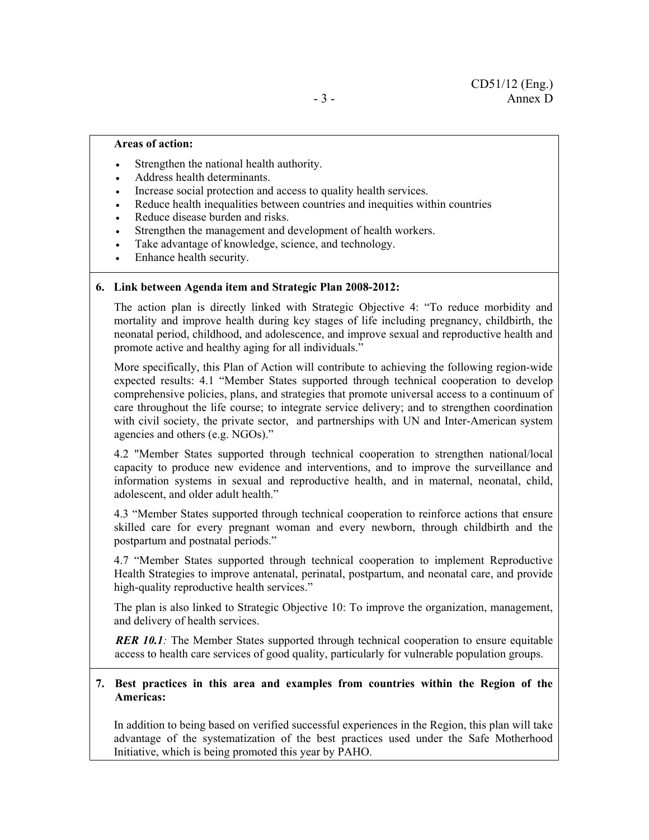#### **Areas of action:**

- Strengthen the national health authority.
- Address health determinants.
- Increase social protection and access to quality health services.
- Reduce health inequalities between countries and inequities within countries
- Reduce disease burden and risks.
- Strengthen the management and development of health workers.
- Take advantage of knowledge, science, and technology.
- Enhance health security.

#### **6. Link between Agenda item and Strategic Plan 2008-2012:**

The action plan is directly linked with Strategic Objective 4: "To reduce morbidity and mortality and improve health during key stages of life including pregnancy, childbirth, the neonatal period, childhood, and adolescence, and improve sexual and reproductive health and promote active and healthy aging for all individuals."

More specifically, this Plan of Action will contribute to achieving the following region-wide expected results: 4.1 "Member States supported through technical cooperation to develop comprehensive policies, plans, and strategies that promote universal access to a continuum of care throughout the life course; to integrate service delivery; and to strengthen coordination with civil society, the private sector, and partnerships with UN and Inter-American system agencies and others (e.g. NGOs)."

4.2 "Member States supported through technical cooperation to strengthen national/local capacity to produce new evidence and interventions, and to improve the surveillance and information systems in sexual and reproductive health, and in maternal, neonatal, child, adolescent, and older adult health."

4.3 "Member States supported through technical cooperation to reinforce actions that ensure skilled care for every pregnant woman and every newborn, through childbirth and the postpartum and postnatal periods."

4.7 "Member States supported through technical cooperation to implement Reproductive Health Strategies to improve antenatal, perinatal, postpartum, and neonatal care, and provide high-quality reproductive health services."

The plan is also linked to Strategic Objective 10: To improve the organization, management, and delivery of health services.

*RER 10.1:* The Member States supported through technical cooperation to ensure equitable access to health care services of good quality, particularly for vulnerable population groups.

#### **7. Best practices in this area and examples from countries within the Region of the Americas:**

In addition to being based on verified successful experiences in the Region, this plan will take advantage of the systematization of the best practices used under the Safe Motherhood Initiative, which is being promoted this year by PAHO.